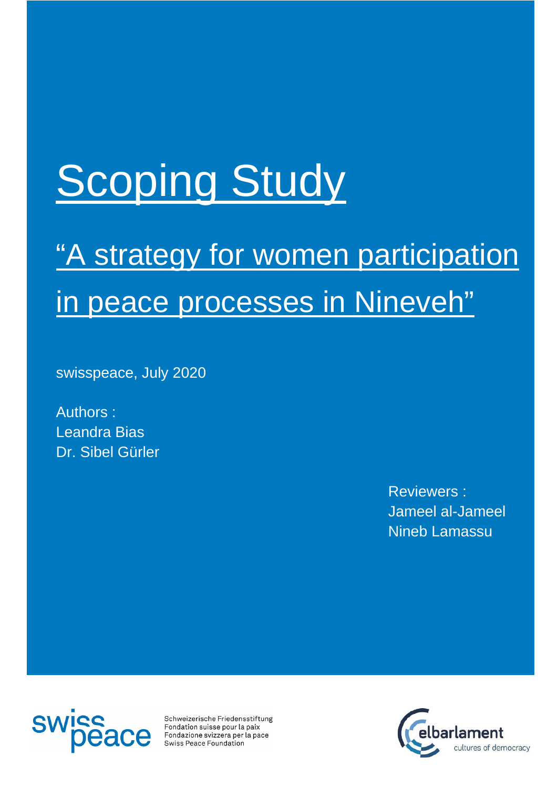# **Scoping Study**

## "A strategy for women participation in peace processes in Nineveh"

swisspeace, July 2020

Authors : Leandra Bias Dr. Sibel Gürler

> Reviewers : Jameel al-Jameel Nineb Lamassu



Schweizerische Friedensstiftung Fondation suisse pour la paix Fondazione svizzera per la pace Swiss Peace Foundation

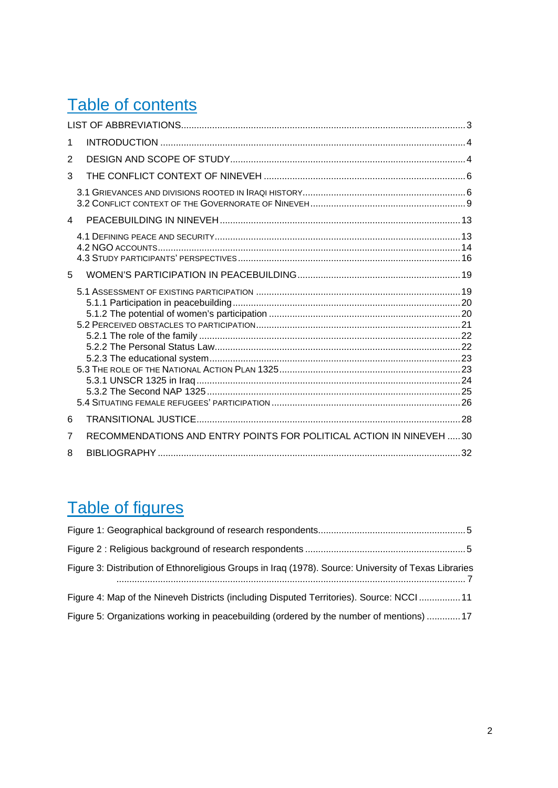## Table of contents

| 1 |                                                                     |  |  |  |
|---|---------------------------------------------------------------------|--|--|--|
| 2 |                                                                     |  |  |  |
| 3 |                                                                     |  |  |  |
|   |                                                                     |  |  |  |
| 4 |                                                                     |  |  |  |
|   |                                                                     |  |  |  |
| 5 |                                                                     |  |  |  |
|   |                                                                     |  |  |  |
| 6 |                                                                     |  |  |  |
| 7 | RECOMMENDATIONS AND ENTRY POINTS FOR POLITICAL ACTION IN NINEVEH 30 |  |  |  |
| 8 |                                                                     |  |  |  |

## Table of figures

| Figure 3: Distribution of Ethnoreligious Groups in Iraq (1978). Source: University of Texas Libraries |  |  |
|-------------------------------------------------------------------------------------------------------|--|--|
| Figure 4: Map of the Nineveh Districts (including Disputed Territories). Source: NCCI 11              |  |  |
| Figure 5: Organizations working in peacebuilding (ordered by the number of mentions)  17              |  |  |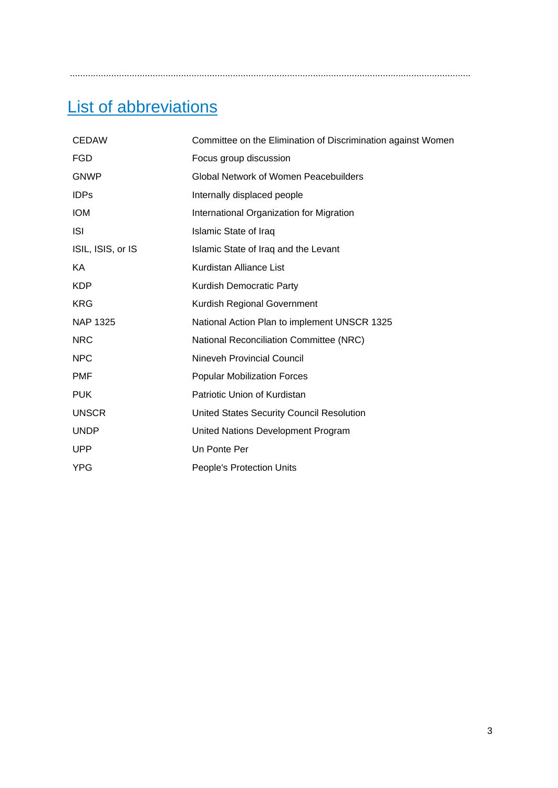<span id="page-2-0"></span>...........................................................................................................................................................

## List of abbreviations

| <b>CEDAW</b>      | Committee on the Elimination of Discrimination against Women |
|-------------------|--------------------------------------------------------------|
| <b>FGD</b>        | Focus group discussion                                       |
| <b>GNWP</b>       | <b>Global Network of Women Peacebuilders</b>                 |
| <b>IDPs</b>       | Internally displaced people                                  |
| <b>IOM</b>        | International Organization for Migration                     |
| <b>ISI</b>        | <b>Islamic State of Iraq</b>                                 |
| ISIL, ISIS, or IS | Islamic State of Iraq and the Levant                         |
| ΚA                | Kurdistan Alliance List                                      |
| <b>KDP</b>        | Kurdish Democratic Party                                     |
| <b>KRG</b>        | Kurdish Regional Government                                  |
| <b>NAP 1325</b>   | National Action Plan to implement UNSCR 1325                 |
| <b>NRC</b>        | National Reconciliation Committee (NRC)                      |
| <b>NPC</b>        | Nineveh Provincial Council                                   |
| <b>PMF</b>        | <b>Popular Mobilization Forces</b>                           |
| <b>PUK</b>        | Patriotic Union of Kurdistan                                 |
| <b>UNSCR</b>      | United States Security Council Resolution                    |
| <b>UNDP</b>       | United Nations Development Program                           |
| <b>UPP</b>        | Un Ponte Per                                                 |
| <b>YPG</b>        | <b>People's Protection Units</b>                             |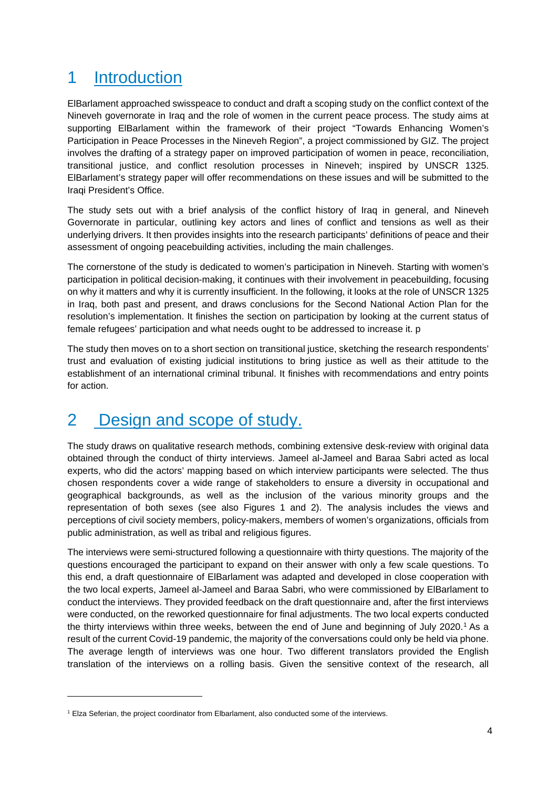## <span id="page-3-0"></span>1 Introduction

ElBarlament approached swisspeace to conduct and draft a scoping study on the conflict context of the Nineveh governorate in Iraq and the role of women in the current peace process. The study aims at supporting ElBarlament within the framework of their project "Towards Enhancing Women's Participation in Peace Processes in the Nineveh Region", a project commissioned by GIZ. The project involves the drafting of a strategy paper on improved participation of women in peace, reconciliation, transitional justice, and conflict resolution processes in Nineveh; inspired by UNSCR 1325. ElBarlament's strategy paper will offer recommendations on these issues and will be submitted to the Iraqi President's Office.

The study sets out with a brief analysis of the conflict history of Iraq in general, and Nineveh Governorate in particular, outlining key actors and lines of conflict and tensions as well as their underlying drivers. It then provides insights into the research participants' definitions of peace and their assessment of ongoing peacebuilding activities, including the main challenges.

The cornerstone of the study is dedicated to women's participation in Nineveh. Starting with women's participation in political decision-making, it continues with their involvement in peacebuilding, focusing on why it matters and why it is currently insufficient. In the following, it looks at the role of UNSCR 1325 in Iraq, both past and present, and draws conclusions for the Second National Action Plan for the resolution's implementation. It finishes the section on participation by looking at the current status of female refugees' participation and what needs ought to be addressed to increase it. p

The study then moves on to a short section on transitional justice, sketching the research respondents' trust and evaluation of existing judicial institutions to bring justice as well as their attitude to the establishment of an international criminal tribunal. It finishes with recommendations and entry points for action.

## <span id="page-3-1"></span>2 Design and scope of study.

The study draws on qualitative research methods, combining extensive desk-review with original data obtained through the conduct of thirty interviews. Jameel al-Jameel and Baraa Sabri acted as local experts, who did the actors' mapping based on which interview participants were selected. The thus chosen respondents cover a wide range of stakeholders to ensure a diversity in occupational and geographical backgrounds, as well as the inclusion of the various minority groups and the representation of both sexes (see also Figures 1 and 2). The analysis includes the views and perceptions of civil society members, policy-makers, members of women's organizations, officials from public administration, as well as tribal and religious figures.

The interviews were semi-structured following a questionnaire with thirty questions. The majority of the questions encouraged the participant to expand on their answer with only a few scale questions. To this end, a draft questionnaire of ElBarlament was adapted and developed in close cooperation with the two local experts, Jameel al-Jameel and Baraa Sabri, who were commissioned by ElBarlament to conduct the interviews. They provided feedback on the draft questionnaire and, after the first interviews were conducted, on the reworked questionnaire for final adjustments. The two local experts conducted the thirty interviews within three weeks, between the end of June and beginning of July 2020.<sup>[1](#page-3-2)</sup> As a result of the current Covid-19 pandemic, the majority of the conversations could only be held via phone. The average length of interviews was one hour. Two different translators provided the English translation of the interviews on a rolling basis. Given the sensitive context of the research, all

<span id="page-3-2"></span><sup>1</sup> Elza Seferian, the project coordinator from Elbarlament, also conducted some of the interviews.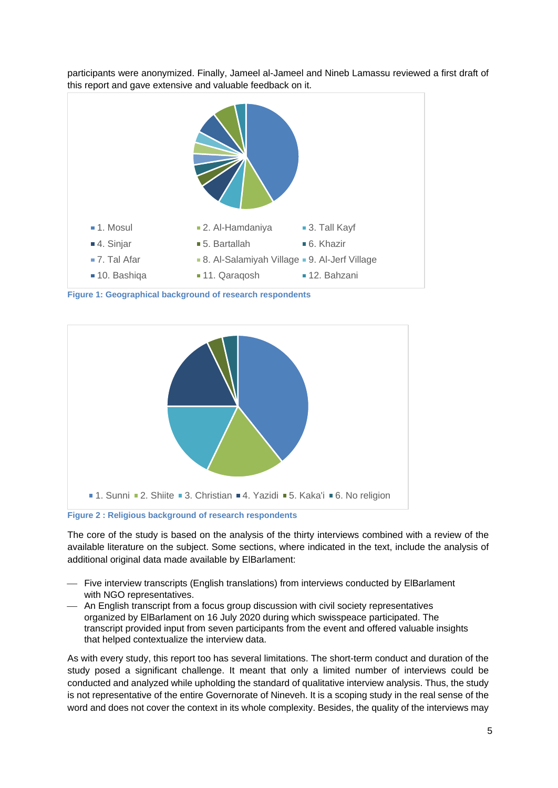

participants were anonymized. Finally, Jameel al-Jameel and Nineb Lamassu reviewed a first draft of this report and gave extensive and valuable feedback on it.

<span id="page-4-0"></span>**Figure 1: Geographical background of research respondents**



<span id="page-4-1"></span>**Figure 2 : Religious background of research respondents**

The core of the study is based on the analysis of the thirty interviews combined with a review of the available literature on the subject. Some sections, where indicated in the text, include the analysis of additional original data made available by ElBarlament:

- Five interview transcripts (English translations) from interviews conducted by ElBarlament with NGO representatives.
- An English transcript from a focus group discussion with civil society representatives organized by ElBarlament on 16 July 2020 during which swisspeace participated. The transcript provided input from seven participants from the event and offered valuable insights that helped contextualize the interview data.

As with every study, this report too has several limitations. The short-term conduct and duration of the study posed a significant challenge. It meant that only a limited number of interviews could be conducted and analyzed while upholding the standard of qualitative interview analysis. Thus, the study is not representative of the entire Governorate of Nineveh. It is a scoping study in the real sense of the word and does not cover the context in its whole complexity. Besides, the quality of the interviews may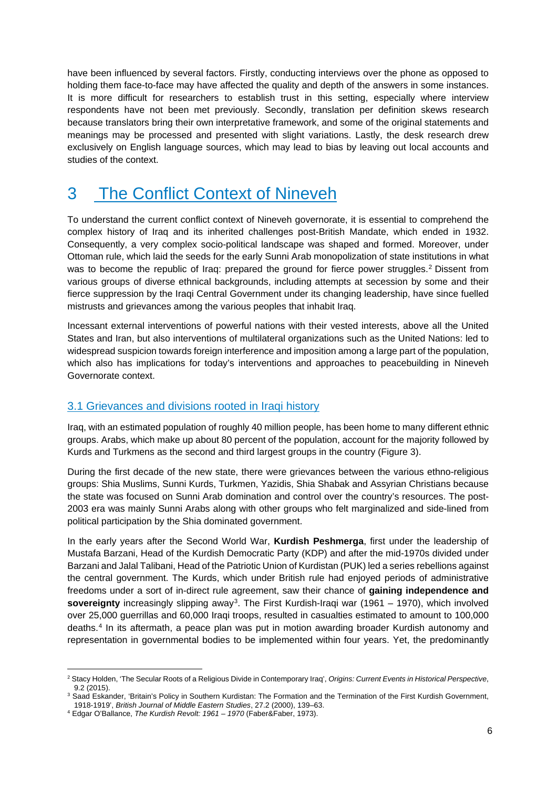have been influenced by several factors. Firstly, conducting interviews over the phone as opposed to holding them face-to-face may have affected the quality and depth of the answers in some instances. It is more difficult for researchers to establish trust in this setting, especially where interview respondents have not been met previously. Secondly, translation per definition skews research because translators bring their own interpretative framework, and some of the original statements and meanings may be processed and presented with slight variations. Lastly, the desk research drew exclusively on English language sources, which may lead to bias by leaving out local accounts and studies of the context.

## <span id="page-5-0"></span>3 The Conflict Context of Nineveh

To understand the current conflict context of Nineveh governorate, it is essential to comprehend the complex history of Iraq and its inherited challenges post-British Mandate, which ended in 1932. Consequently, a very complex socio-political landscape was shaped and formed. Moreover, under Ottoman rule, which laid the seeds for the early Sunni Arab monopolization of state institutions in what was to become the republic of Iraq: prepared the ground for fierce power struggles.<sup>[2](#page-5-2)</sup> Dissent from various groups of diverse ethnical backgrounds, including attempts at secession by some and their fierce suppression by the Iraqi Central Government under its changing leadership, have since fuelled mistrusts and grievances among the various peoples that inhabit Iraq.

Incessant external interventions of powerful nations with their vested interests, above all the United States and Iran, but also interventions of multilateral organizations such as the United Nations: led to widespread suspicion towards foreign interference and imposition among a large part of the population, which also has implications for today's interventions and approaches to peacebuilding in Nineveh Governorate context.

#### <span id="page-5-1"></span>3.1 Grievances and divisions rooted in Iraqi history

Iraq, with an estimated population of roughly 40 million people, has been home to many different ethnic groups. Arabs, which make up about 80 percent of the population, account for the majority followed by Kurds and Turkmens as the second and third largest groups in the country (Figure 3).

During the first decade of the new state, there were grievances between the various ethno-religious groups: Shia Muslims, Sunni Kurds, Turkmen, Yazidis, Shia Shabak and Assyrian Christians because the state was focused on Sunni Arab domination and control over the country's resources. The post-2003 era was mainly Sunni Arabs along with other groups who felt marginalized and side-lined from political participation by the Shia dominated government.

In the early years after the Second World War, **Kurdish Peshmerga**, first under the leadership of Mustafa Barzani, Head of the Kurdish Democratic Party (KDP) and after the mid-1970s divided under Barzani and Jalal Talibani, Head of the Patriotic Union of Kurdistan (PUK) led a series rebellions against the central government. The Kurds, which under British rule had enjoyed periods of administrative freedoms under a sort of in-direct rule agreement, saw their chance of **gaining independence and sovereignty** increasingly slipping away[3.](#page-5-3) The First Kurdish-Iraqi war (1961 – 1970), which involved over 25,000 guerrillas and 60,000 Iraqi troops, resulted in casualties estimated to amount to 100,000 deaths.[4](#page-5-4) In its aftermath, a peace plan was put in motion awarding broader Kurdish autonomy and representation in governmental bodies to be implemented within four years. Yet, the predominantly

<span id="page-5-2"></span><sup>2</sup> Stacy Holden, 'The Secular Roots of a Religious Divide in Contemporary Iraq', *Origins: Current Events in Historical Perspective*, 9.2 (2015).

<span id="page-5-3"></span><sup>&</sup>lt;sup>3</sup> Saad Eskander, 'Britain's Policy in Southern Kurdistan: The Formation and the Termination of the First Kurdish Government, 1918-1919', *British Journal of Middle Eastern Studies*, 27.2 (2000), 139–63.

<span id="page-5-4"></span><sup>4</sup> Edgar O'Ballance, *The Kurdish Revolt: 1961 – 1970* (Faber&Faber, 1973).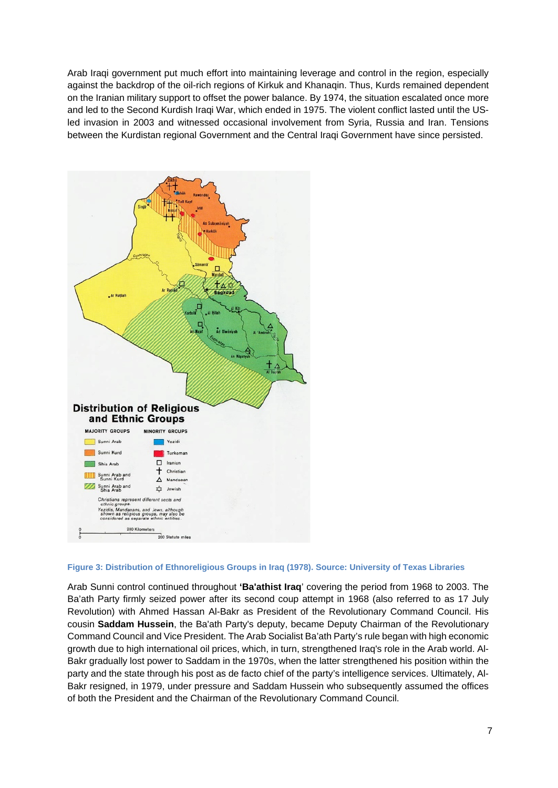Arab Iraqi government put much effort into maintaining leverage and control in the region, especially against the backdrop of the oil-rich regions of Kirkuk and Khanaqin. Thus, Kurds remained dependent on the Iranian military support to offset the power balance. By 1974, the situation escalated once more and led to the Second Kurdish Iraqi War, which ended in 1975. The violent conflict lasted until the USled invasion in 2003 and witnessed occasional involvement from Syria, Russia and Iran. Tensions between the Kurdistan regional Government and the Central Iraqi Government have since persisted.



#### <span id="page-6-0"></span>**Figure 3: Distribution of Ethnoreligious Groups in Iraq (1978). Source: University of Texas Libraries**

Arab Sunni control continued throughout **'Ba'athist Iraq**' covering the period from 1968 to 2003. The Ba'ath Party firmly seized power after its second coup attempt in 1968 (also referred to as 17 July Revolution) with Ahmed Hassan Al-Bakr as President of the Revolutionary Command Council. His cousin **Saddam Hussein**, the Ba'ath Party's deputy, became Deputy Chairman of the Revolutionary Command Council and Vice President. The Arab Socialist Ba'ath Party's rule began with high economic growth due to high international oil prices, which, in turn, strengthened Iraq's role in the Arab world. Al-Bakr gradually lost power to Saddam in the 1970s, when the latter strengthened his position within the party and the state through his post as de facto chief of the party's intelligence services. Ultimately, Al-Bakr resigned, in 1979, under pressure and Saddam Hussein who subsequently assumed the offices of both the President and the Chairman of the Revolutionary Command Council.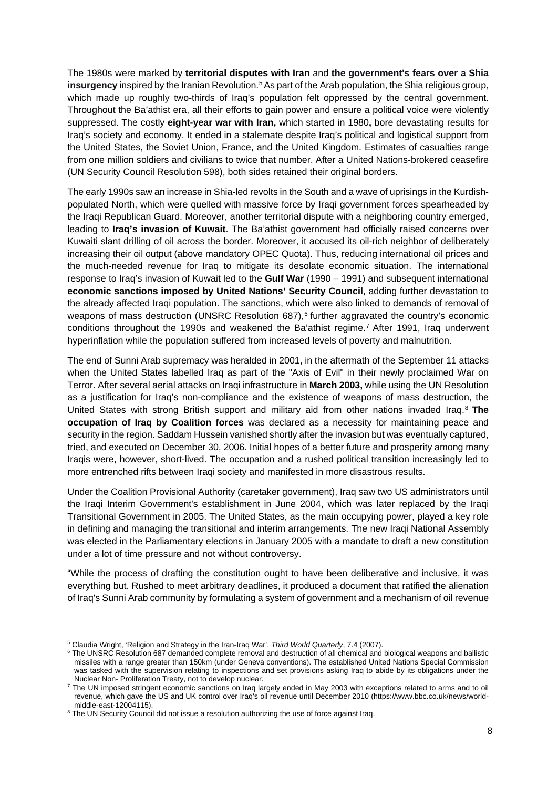The 1980s were marked by **territorial disputes with Iran** and **the government's fears over a Shia**  insurgency inspired by the Iranian Revolution.<sup>[5](#page-7-0)</sup> As part of the Arab population, the Shia religious group, which made up roughly two-thirds of Iraq's population felt oppressed by the central government. Throughout the Ba'athist era, all their efforts to gain power and ensure a political voice were violently suppressed. The costly **eight-year war with Iran,** which started in 1980**,** bore devastating results for Iraq's society and economy. It ended in a stalemate despite Iraq's political and logistical support from the United States, the Soviet Union, France, and the United Kingdom. Estimates of casualties range from one million soldiers and civilians to twice that number. After a United Nations-brokered ceasefire (UN Security Council Resolution 598), both sides retained their original borders.

The early 1990s saw an increase in Shia-led revolts in the South and a wave of uprisings in the Kurdishpopulated North, which were quelled with massive force by Iraqi government forces spearheaded by the Iraqi Republican Guard. Moreover, another territorial dispute with a neighboring country emerged, leading to **Iraq's invasion of Kuwait**. The Ba'athist government had officially raised concerns over Kuwaiti slant drilling of oil across the border. Moreover, it accused its oil-rich neighbor of deliberately increasing their oil output (above mandatory OPEC Quota). Thus, reducing international oil prices and the much-needed revenue for Iraq to mitigate its desolate economic situation. The international response to Iraq's invasion of Kuwait led to the **Gulf War** (1990 – 1991) and subsequent international **economic sanctions imposed by United Nations' Security Council**, adding further devastation to the already affected Iraqi population. The sanctions, which were also linked to demands of removal of weapons of mass destruction (UNSRC Resolution  $687$  $687$ ),  $6$  further aggravated the country's economic conditions throughout the 1990s and weakened the Ba'athist regime. [7](#page-7-2) After 1991, Iraq underwent hyperinflation while the population suffered from increased levels of poverty and malnutrition.

The end of Sunni Arab supremacy was heralded in 2001, in the aftermath of the September 11 attacks when the United States labelled Iraq as part of the "Axis of Evil" in their newly proclaimed War on Terror. After several aerial attacks on Iraqi infrastructure in **March 2003,** while using the UN Resolution as a justification for Iraq's non-compliance and the existence of weapons of mass destruction, the United States with strong British support and military aid from other nations invaded Iraq.[8](#page-7-3) **The occupation of Iraq by Coalition forces** was declared as a necessity for maintaining peace and security in the region. Saddam Hussein vanished shortly after the invasion but was eventually captured, tried, and executed on December 30, 2006. Initial hopes of a better future and prosperity among many Iraqis were, however, short-lived. The occupation and a rushed political transition increasingly led to more entrenched rifts between Iraqi society and manifested in more disastrous results.

Under the Coalition Provisional Authority (caretaker government), Iraq saw two US administrators until the Iraqi Interim Government's establishment in June 2004, which was later replaced by the Iraqi Transitional Government in 2005. The United States, as the main occupying power, played a key role in defining and managing the transitional and interim arrangements. The new Iraqi National Assembly was elected in the Parliamentary elections in January 2005 with a mandate to draft a new constitution under a lot of time pressure and not without controversy.

"While the process of drafting the constitution ought to have been deliberative and inclusive, it was everything but. Rushed to meet arbitrary deadlines, it produced a document that ratified the alienation of Iraq's Sunni Arab community by formulating a system of government and a mechanism of oil revenue

<span id="page-7-0"></span><sup>5</sup> Claudia Wright, 'Religion and Strategy in the Iran-Iraq War', *Third World Quarterly*, 7.4 (2007).

<span id="page-7-1"></span><sup>&</sup>lt;sup>6</sup> The UNSRC Resolution 687 demanded complete removal and destruction of all chemical and biological weapons and ballistic missiles with a range greater than 150km (under Geneva conventions). The established United Nations Special Commission was tasked with the supervision relating to inspections and set provisions asking Iraq to abide by its obligations under the Nuclear Non- Proliferation Treaty, not to develop nuclear.

<span id="page-7-2"></span><sup>7</sup> The UN imposed stringent economic sanctions on Iraq largely ended in May 2003 with exceptions related to arms and to oil revenue, which gave the US and UK control over Iraq's oil revenue until December 2010 (https://www.bbc.co.uk/news/worldmiddle-east-12004115).

<span id="page-7-3"></span><sup>&</sup>lt;sup>8</sup> The UN Security Council did not issue a resolution authorizing the use of force against Iraq.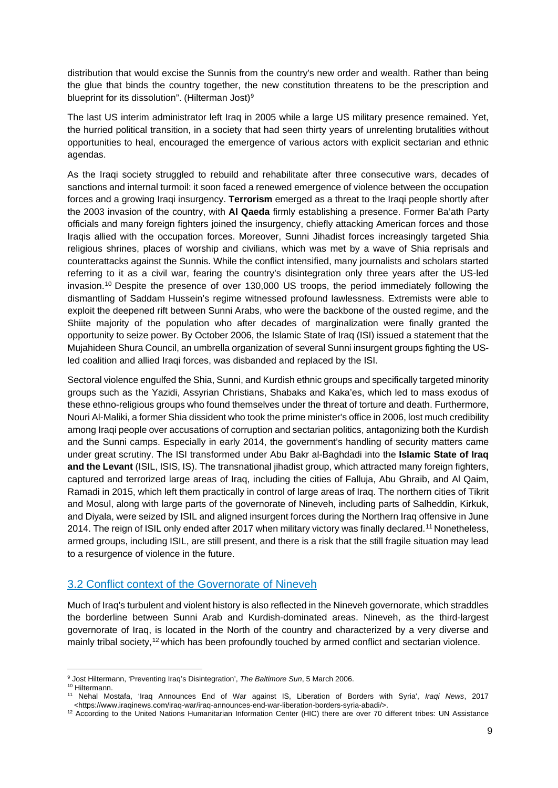distribution that would excise the Sunnis from the country's new order and wealth. Rather than being the glue that binds the country together, the new constitution threatens to be the prescription and blueprint for its dissolution". (Hilterman Jost)<sup>[9](#page-8-1)</sup>

The last US interim administrator left Iraq in 2005 while a large US military presence remained. Yet, the hurried political transition, in a society that had seen thirty years of unrelenting brutalities without opportunities to heal, encouraged the emergence of various actors with explicit sectarian and ethnic agendas.

As the Iraqi society struggled to rebuild and rehabilitate after three consecutive wars, decades of sanctions and internal turmoil: it soon faced a renewed emergence of violence between the occupation forces and a growing Iraqi insurgency. **Terrorism** emerged as a threat to the Iraqi people shortly after the 2003 invasion of the country, with **Al Qaeda** firmly establishing a presence. Former Ba'ath Party officials and many foreign fighters joined the insurgency, chiefly attacking American forces and those Iraqis allied with the occupation forces. Moreover, Sunni Jihadist forces increasingly targeted Shia religious shrines, places of worship and civilians, which was met by a wave of Shia reprisals and counterattacks against the Sunnis. While the conflict intensified, many journalists and scholars started referring to it as a civil war, fearing the country's disintegration only three years after the US-led invasion.[10](#page-8-2) Despite the presence of over 130,000 US troops, the period immediately following the dismantling of Saddam Hussein's regime witnessed profound lawlessness. Extremists were able to exploit the deepened rift between Sunni Arabs, who were the backbone of the ousted regime, and the Shiite majority of the population who after decades of marginalization were finally granted the opportunity to seize power. By October 2006, the Islamic State of Iraq (ISI) issued a statement that the Mujahideen Shura Council, an umbrella organization of several Sunni insurgent groups fighting the USled coalition and allied Iraqi forces, was disbanded and replaced by the ISI.

Sectoral violence engulfed the Shia, Sunni, and Kurdish ethnic groups and specifically targeted minority groups such as the Yazidi, Assyrian Christians, Shabaks and Kaka'es, which led to mass exodus of these ethno-religious groups who found themselves under the threat of torture and death. Furthermore, Nouri Al-Maliki, a former Shia dissident who took the prime minister's office in 2006, lost much credibility among Iraqi people over accusations of corruption and sectarian politics, antagonizing both the Kurdish and the Sunni camps. Especially in early 2014, the government's handling of security matters came under great scrutiny. The ISI transformed under Abu Bakr al-Baghdadi into the **Islamic State of Iraq and the Levant** (ISIL, ISIS, IS). The transnational jihadist group, which attracted many foreign fighters, captured and terrorized large areas of Iraq, including the cities of Falluja, Abu Ghraib, and Al Qaim, Ramadi in 2015, which left them practically in control of large areas of Iraq. The northern cities of Tikrit and Mosul, along with large parts of the governorate of Nineveh, including parts of Salheddin, Kirkuk, and Diyala, were seized by ISIL and aligned insurgent forces during the Northern Iraq offensive in June 2014. The reign of ISIL only ended after 2017 when military victory was finally declared.[11](#page-8-3) Nonetheless, armed groups, including ISIL, are still present, and there is a risk that the still fragile situation may lead to a resurgence of violence in the future.

#### <span id="page-8-0"></span>3.2 Conflict context of the Governorate of Nineveh

Much of Iraq's turbulent and violent history is also reflected in the Nineveh governorate, which straddles the borderline between Sunni Arab and Kurdish-dominated areas. Nineveh, as the third-largest governorate of Iraq, is located in the North of the country and characterized by a very diverse and mainly tribal society,<sup>[12](#page-8-4)</sup> which has been profoundly touched by armed conflict and sectarian violence.

<span id="page-8-1"></span><sup>9</sup> Jost Hiltermann, 'Preventing Iraq's Disintegration', *The Baltimore Sun*, 5 March 2006.

<sup>10</sup> Hiltermann.

<span id="page-8-3"></span><span id="page-8-2"></span><sup>11</sup> Nehal Mostafa, 'Iraq Announces End of War against IS, Liberation of Borders with Syria', *Iraqi News*, 2017 <https://www.iraqinews.com/iraq-war/iraq-announces-end-war-liberation-borders-syria-abadi/>.

<span id="page-8-4"></span><sup>&</sup>lt;sup>12</sup> According to the United Nations Humanitarian Information Center (HIC) there are over 70 different tribes: UN Assistance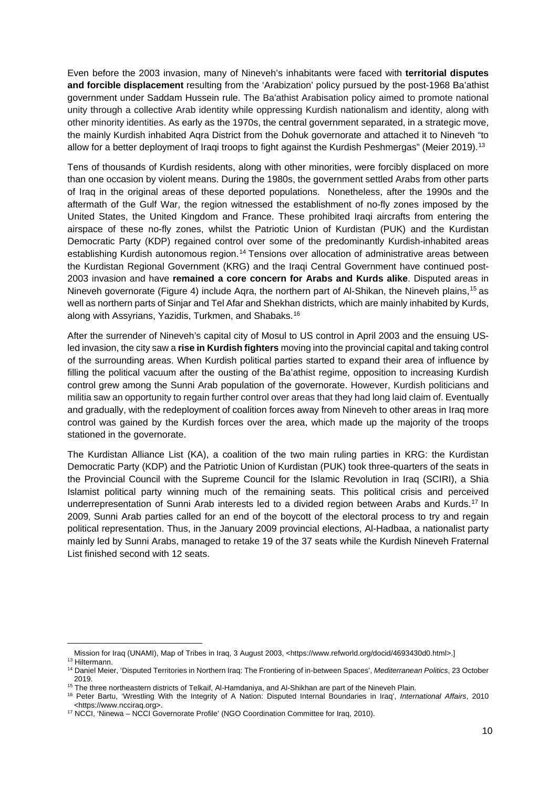Even before the 2003 invasion, many of Nineveh's inhabitants were faced with **territorial disputes and forcible displacement** resulting from the 'Arabization' policy pursued by the post-1968 Ba'athist government under Saddam Hussein rule. The Ba'athist Arabisation policy aimed to promote national unity through a collective Arab identity while oppressing Kurdish nationalism and identity, along with other minority identities. As early as the 1970s, the central government separated, in a strategic move, the mainly Kurdish inhabited Aqra District from the Dohuk governorate and attached it to Nineveh "to allow for a better deployment of Iraqi troops to fight against the Kurdish Peshmergas" (Meier 2019).<sup>[13](#page-9-0)</sup>

Tens of thousands of Kurdish residents, along with other minorities, were forcibly displaced on more than one occasion by violent means. During the 1980s, the government settled Arabs from other parts of Iraq in the original areas of these deported populations. Nonetheless, after the 1990s and the aftermath of the Gulf War, the region witnessed the establishment of no-fly zones imposed by the United States, the United Kingdom and France. These prohibited Iraqi aircrafts from entering the airspace of these no-fly zones, whilst the Patriotic Union of Kurdistan (PUK) and the Kurdistan Democratic Party (KDP) regained control over some of the predominantly Kurdish-inhabited areas establishing Kurdish autonomous region.<sup>[14](#page-9-1)</sup> Tensions over allocation of administrative areas between the Kurdistan Regional Government (KRG) and the Iraqi Central Government have continued post-2003 invasion and have **remained a core concern for Arabs and Kurds alike**. Disputed areas in Nineveh governorate (Figure 4) include Aqra, the northern part of Al-Shikan, the Nineveh plains[,15](#page-9-2) as well as northern parts of Sinjar and Tel Afar and Shekhan districts, which are mainly inhabited by Kurds, along with Assyrians, Yazidis, Turkmen, and Shabaks.[16](#page-9-3)

After the surrender of Nineveh's capital city of Mosul to US control in April 2003 and the ensuing USled invasion, the city saw a **rise in Kurdish fighters** moving into the provincial capital and taking control of the surrounding areas. When Kurdish political parties started to expand their area of influence by filling the political vacuum after the ousting of the Ba'athist regime, opposition to increasing Kurdish control grew among the Sunni Arab population of the governorate. However, Kurdish politicians and militia saw an opportunity to regain further control over areas that they had long laid claim of. Eventually and gradually, with the redeployment of coalition forces away from Nineveh to other areas in Iraq more control was gained by the Kurdish forces over the area, which made up the majority of the troops stationed in the governorate.

The Kurdistan Alliance List (KA), a coalition of the two main ruling parties in KRG: the Kurdistan Democratic Party (KDP) and the Patriotic Union of Kurdistan (PUK) took three-quarters of the seats in the Provincial Council with the Supreme Council for the Islamic Revolution in Iraq (SCIRI), a Shia Islamist political party winning much of the remaining seats. This political crisis and perceived underrepresentation of Sunni Arab interests led to a divided region between Arabs and Kurds.[17](#page-9-4) In 2009, Sunni Arab parties called for an end of the boycott of the electoral process to try and regain political representation. Thus, in the January 2009 provincial elections, Al-Hadbaa, a nationalist party mainly led by Sunni Arabs, managed to retake 19 of the 37 seats while the Kurdish Nineveh Fraternal List finished second with 12 seats.

Mission for Iraq (UNAMI), Map of Tribes in Iraq, 3 August 2003, <https://www.refworld.org/docid/4693430d0.html>.]

<sup>13</sup> Hiltermann.

<span id="page-9-1"></span><span id="page-9-0"></span><sup>14</sup> Daniel Meier, 'Disputed Territories in Northern Iraq: The Frontiering of in-between Spaces', *Mediterranean Politics*, 23 October 2019.

<span id="page-9-2"></span><sup>&</sup>lt;sup>15</sup> The three northeastern districts of Telkaif, Al-Hamdaniya, and Al-Shikhan are part of the Nineveh Plain.

<span id="page-9-3"></span><sup>16</sup> Peter Bartu, 'Wrestling With the Integrity of A Nation: Disputed Internal Boundaries in Iraq', *International Affairs*, 2010 <https://www.ncciraq.org>.

<span id="page-9-4"></span><sup>&</sup>lt;sup>17</sup> NCCI, 'Ninewa - NCCI Governorate Profile' (NGO Coordination Committee for Iraq, 2010).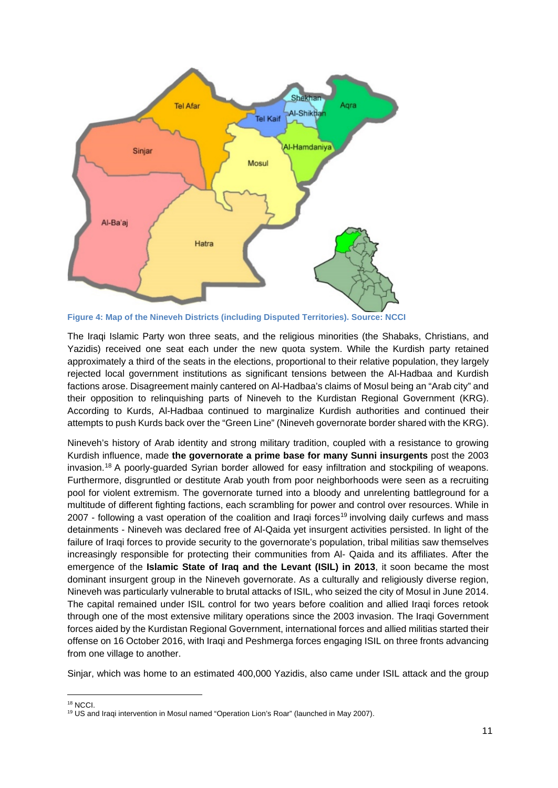

<span id="page-10-0"></span>**Figure 4: Map of the Nineveh Districts (including Disputed Territories). Source: NCCI** 

The Iraqi Islamic Party won three seats, and the religious minorities (the Shabaks, Christians, and Yazidis) received one seat each under the new quota system. While the Kurdish party retained approximately a third of the seats in the elections, proportional to their relative population, they largely rejected local government institutions as significant tensions between the Al-Hadbaa and Kurdish factions arose. Disagreement mainly cantered on Al-Hadbaa's claims of Mosul being an "Arab city" and their opposition to relinquishing parts of Nineveh to the Kurdistan Regional Government (KRG). According to Kurds, Al-Hadbaa continued to marginalize Kurdish authorities and continued their attempts to push Kurds back over the "Green Line" (Nineveh governorate border shared with the KRG).

Nineveh's history of Arab identity and strong military tradition, coupled with a resistance to growing Kurdish influence, made **the governorate a prime base for many Sunni insurgents** post the 2003 invasion.[18](#page-10-1) A poorly-guarded Syrian border allowed for easy infiltration and stockpiling of weapons. Furthermore, disgruntled or destitute Arab youth from poor neighborhoods were seen as a recruiting pool for violent extremism. The governorate turned into a bloody and unrelenting battleground for a multitude of different fighting factions, each scrambling for power and control over resources. While in 2007 - following a vast operation of the coalition and Iragi forces<sup>[19](#page-10-2)</sup> involving daily curfews and mass detainments - Nineveh was declared free of Al-Qaida yet insurgent activities persisted. In light of the failure of Iraqi forces to provide security to the governorate's population, tribal militias saw themselves increasingly responsible for protecting their communities from Al- Qaida and its affiliates. After the emergence of the **Islamic State of Iraq and the Levant (ISIL) in 2013**, it soon became the most dominant insurgent group in the Nineveh governorate. As a culturally and religiously diverse region, Nineveh was particularly vulnerable to brutal attacks of ISIL, who seized the city of Mosul in June 2014. The capital remained under ISIL control for two years before coalition and allied Iraqi forces retook through one of the most extensive military operations since the 2003 invasion. The Iraqi Government forces aided by the Kurdistan Regional Government, international forces and allied militias started their offense on 16 October 2016, with Iraqi and Peshmerga forces engaging ISIL on three fronts advancing from one village to another.

Sinjar, which was home to an estimated 400,000 Yazidis, also came under ISIL attack and the group

<sup>18</sup> NCCI.

<span id="page-10-2"></span><span id="page-10-1"></span><sup>19</sup> US and Iraqi intervention in Mosul named "Operation Lion's Roar" (launched in May 2007).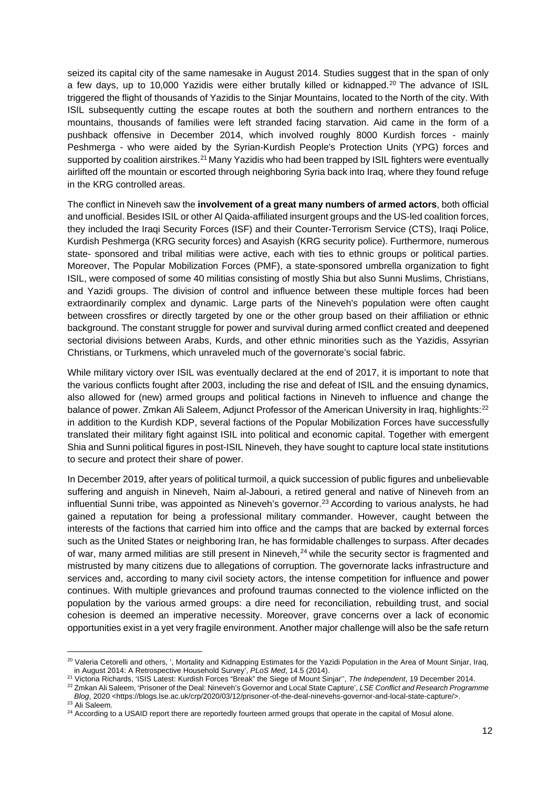seized its capital city of the same namesake in August 2014. Studies suggest that in the span of only a few days, up to 10,000 Yazidis were either brutally killed or kidnapped.[20](#page-11-0) The advance of ISIL triggered the flight of thousands of Yazidis to the Sinjar Mountains, located to the North of the city. With ISIL subsequently cutting the escape routes at both the southern and northern entrances to the mountains, thousands of families were left stranded facing starvation. Aid came in the form of a pushback offensive in December 2014, which involved roughly 8000 Kurdish forces - mainly Peshmerga - who were aided by the Syrian-Kurdish People's Protection Units (YPG) forces and supported by coalition airstrikes.<sup>[21](#page-11-1)</sup> Many Yazidis who had been trapped by ISIL fighters were eventually airlifted off the mountain or escorted through neighboring Syria back into Iraq, where they found refuge in the KRG controlled areas.

The conflict in Nineveh saw the **involvement of a great many numbers of armed actors**, both official and unofficial. Besides ISIL or other Al Qaida-affiliated insurgent groups and the US-led coalition forces, they included the Iraqi Security Forces (ISF) and their Counter-Terrorism Service (CTS), Iraqi Police, Kurdish Peshmerga (KRG security forces) and Asayish (KRG security police). Furthermore, numerous state- sponsored and tribal militias were active, each with ties to ethnic groups or political parties. Moreover, The Popular Mobilization Forces (PMF), a state-sponsored umbrella organization to fight ISIL, were composed of some 40 militias consisting of mostly Shia but also Sunni Muslims, Christians, and Yazidi groups. The division of control and influence between these multiple forces had been extraordinarily complex and dynamic. Large parts of the Nineveh's population were often caught between crossfires or directly targeted by one or the other group based on their affiliation or ethnic background. The constant struggle for power and survival during armed conflict created and deepened sectorial divisions between Arabs, Kurds, and other ethnic minorities such as the Yazidis, Assyrian Christians, or Turkmens, which unraveled much of the governorate's social fabric.

While military victory over ISIL was eventually declared at the end of 2017, it is important to note that the various conflicts fought after 2003, including the rise and defeat of ISIL and the ensuing dynamics, also allowed for (new) armed groups and political factions in Nineveh to influence and change the balance of power. Zmkan Ali Saleem, Adjunct Professor of the American University in Iraq, highlights:<sup>[22](#page-11-2)</sup> in addition to the Kurdish KDP, several factions of the Popular Mobilization Forces have successfully translated their military fight against ISIL into political and economic capital. Together with emergent Shia and Sunni political figures in post-ISIL Nineveh, they have sought to capture local state institutions to secure and protect their share of power.

In December 2019, after years of political turmoil, a quick succession of public figures and unbelievable suffering and anguish in Nineveh, Naim al-Jabouri, a retired general and native of Nineveh from an influential Sunni tribe, was appointed as Nineveh's governor.<sup>[23](#page-11-3)</sup> According to various analysts, he had gained a reputation for being a professional military commander. However, caught between the interests of the factions that carried him into office and the camps that are backed by external forces such as the United States or neighboring Iran, he has formidable challenges to surpass. After decades of war, many armed militias are still present in Nineveh,<sup>[24](#page-11-4)</sup> while the security sector is fragmented and mistrusted by many citizens due to allegations of corruption. The governorate lacks infrastructure and services and, according to many civil society actors, the intense competition for influence and power continues. With multiple grievances and profound traumas connected to the violence inflicted on the population by the various armed groups: a dire need for reconciliation, rebuilding trust, and social cohesion is deemed an imperative necessity. Moreover, grave concerns over a lack of economic opportunities exist in a yet very fragile environment. Another major challenge will also be the safe return

<span id="page-11-0"></span><sup>&</sup>lt;sup>20</sup> Valeria Cetorelli and others, ', Mortality and Kidnapping Estimates for the Yazidi Population in the Area of Mount Sinjar, Iraq, in August 2014: A Retrospective Household Survey', *PLoS Med*, 14.5 (2014).

<span id="page-11-1"></span><sup>21</sup> Victoria Richards, 'ISIS Latest: Kurdish Forces "Break" the Siege of Mount Sinjar'', *The Independent*, 19 December 2014.

<span id="page-11-2"></span><sup>22</sup> Zmkan Ali Saleem, 'Prisoner of the Deal: Nineveh's Governor and Local State Capture', *LSE Conflict and Research Programme Blog*, 2020 <https://blogs.lse.ac.uk/crp/2020/03/12/prisoner-of-the-deal-ninevehs-governor-and-local-state-capture/>.

<span id="page-11-3"></span><sup>23</sup> Ali Saleem.

<span id="page-11-4"></span><sup>&</sup>lt;sup>24</sup> According to a USAID report there are reportedly fourteen armed groups that operate in the capital of Mosul alone.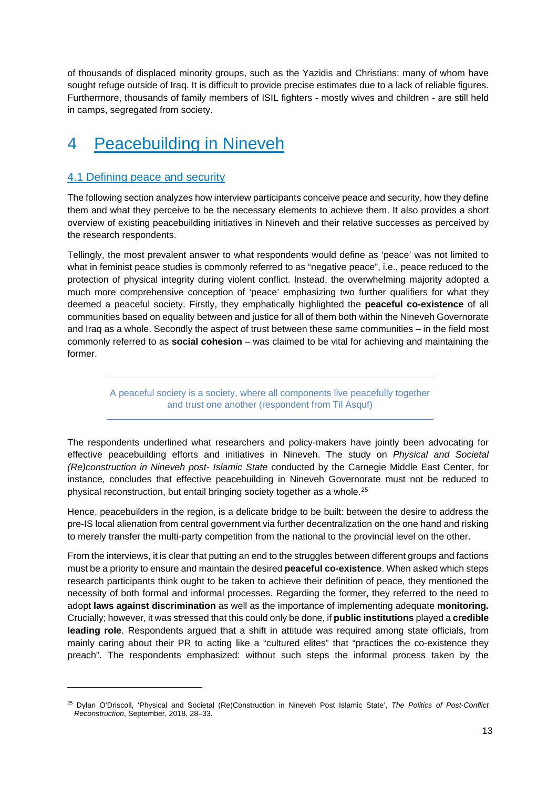of thousands of displaced minority groups, such as the Yazidis and Christians: many of whom have sought refuge outside of Iraq. It is difficult to provide precise estimates due to a lack of reliable figures. Furthermore, thousands of family members of ISIL fighters - mostly wives and children - are still held in camps, segregated from society.

## <span id="page-12-0"></span>4 Peacebuilding in Nineveh

#### <span id="page-12-1"></span>4.1 Defining peace and security

The following section analyzes how interview participants conceive peace and security, how they define them and what they perceive to be the necessary elements to achieve them. It also provides a short overview of existing peacebuilding initiatives in Nineveh and their relative successes as perceived by the research respondents.

Tellingly, the most prevalent answer to what respondents would define as 'peace' was not limited to what in feminist peace studies is commonly referred to as "negative peace", i.e., peace reduced to the protection of physical integrity during violent conflict. Instead, the overwhelming majority adopted a much more comprehensive conception of 'peace' emphasizing two further qualifiers for what they deemed a peaceful society. Firstly, they emphatically highlighted the **peaceful co-existence** of all communities based on equality between and justice for all of them both within the Nineveh Governorate and Iraq as a whole. Secondly the aspect of trust between these same communities – in the field most commonly referred to as **social cohesion** – was claimed to be vital for achieving and maintaining the former.

A peaceful society is a society, where all components live peacefully together and trust one another (respondent from Til Asquf)

The respondents underlined what researchers and policy-makers have jointly been advocating for effective peacebuilding efforts and initiatives in Nineveh. The study on *Physical and Societal (Re)construction in Nineveh post- Islamic State* conducted by the Carnegie Middle East Center, for instance, concludes that effective peacebuilding in Nineveh Governorate must not be reduced to physical reconstruction, but entail bringing society together as a whole.[25](#page-12-2)

Hence, peacebuilders in the region, is a delicate bridge to be built: between the desire to address the pre-IS local alienation from central government via further decentralization on the one hand and risking to merely transfer the multi-party competition from the national to the provincial level on the other.

From the interviews, it is clear that putting an end to the struggles between different groups and factions must be a priority to ensure and maintain the desired **peaceful co-existence**. When asked which steps research participants think ought to be taken to achieve their definition of peace, they mentioned the necessity of both formal and informal processes. Regarding the former, they referred to the need to adopt **laws against discrimination** as well as the importance of implementing adequate **monitoring.**  Crucially; however, it was stressed that this could only be done, if **public institutions** played a **credible leading role**. Respondents argued that a shift in attitude was required among state officials, from mainly caring about their PR to acting like a "cultured elites" that "practices the co-existence they preach". The respondents emphasized: without such steps the informal process taken by the

<span id="page-12-2"></span><sup>25</sup> Dylan O'Driscoll, 'Physical and Societal (Re)Construction in Nineveh Post Islamic State', *The Politics of Post-Conflict Reconstruction*, September, 2018, 28–33.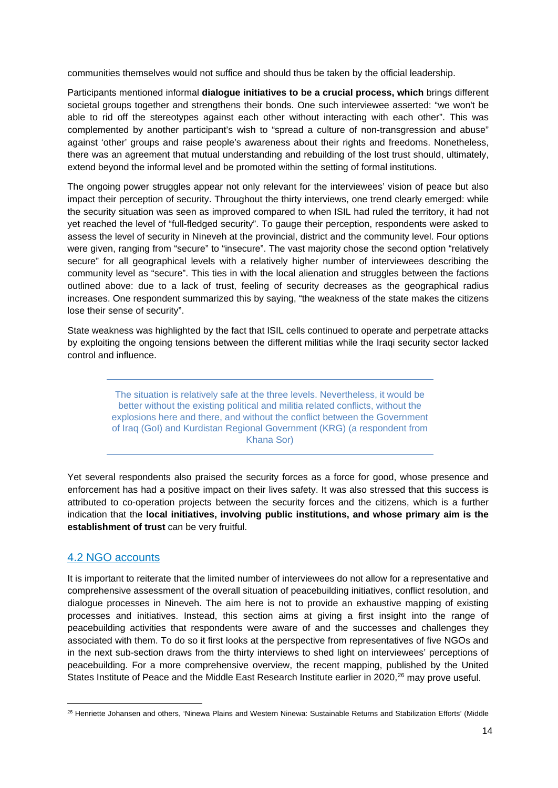communities themselves would not suffice and should thus be taken by the official leadership.

Participants mentioned informal **dialogue initiatives to be a crucial process, which** brings different societal groups together and strengthens their bonds. One such interviewee asserted: "we won't be able to rid off the stereotypes against each other without interacting with each other". This was complemented by another participant's wish to "spread a culture of non-transgression and abuse" against 'other' groups and raise people's awareness about their rights and freedoms. Nonetheless, there was an agreement that mutual understanding and rebuilding of the lost trust should, ultimately, extend beyond the informal level and be promoted within the setting of formal institutions.

The ongoing power struggles appear not only relevant for the interviewees' vision of peace but also impact their perception of security. Throughout the thirty interviews, one trend clearly emerged: while the security situation was seen as improved compared to when ISIL had ruled the territory, it had not yet reached the level of "full-fledged security". To gauge their perception, respondents were asked to assess the level of security in Nineveh at the provincial, district and the community level. Four options were given, ranging from "secure" to "insecure". The vast majority chose the second option "relatively secure" for all geographical levels with a relatively higher number of interviewees describing the community level as "secure". This ties in with the local alienation and struggles between the factions outlined above: due to a lack of trust, feeling of security decreases as the geographical radius increases. One respondent summarized this by saying, "the weakness of the state makes the citizens lose their sense of security".

State weakness was highlighted by the fact that ISIL cells continued to operate and perpetrate attacks by exploiting the ongoing tensions between the different militias while the Iraqi security sector lacked control and influence.

> The situation is relatively safe at the three levels. Nevertheless, it would be better without the existing political and militia related conflicts, without the explosions here and there, and without the conflict between the Government of Iraq (GoI) and Kurdistan Regional Government (KRG) (a respondent from Khana Sor)

Yet several respondents also praised the security forces as a force for good, whose presence and enforcement has had a positive impact on their lives safety. It was also stressed that this success is attributed to co-operation projects between the security forces and the citizens, which is a further indication that the **local initiatives, involving public institutions, and whose primary aim is the establishment of trust** can be very fruitful.

#### <span id="page-13-0"></span>4.2 NGO accounts

It is important to reiterate that the limited number of interviewees do not allow for a representative and comprehensive assessment of the overall situation of peacebuilding initiatives, conflict resolution, and dialogue processes in Nineveh. The aim here is not to provide an exhaustive mapping of existing processes and initiatives. Instead, this section aims at giving a first insight into the range of peacebuilding activities that respondents were aware of and the successes and challenges they associated with them. To do so it first looks at the perspective from representatives of five NGOs and in the next sub-section draws from the thirty interviews to shed light on interviewees' perceptions of peacebuilding. For a more comprehensive overview, the recent mapping, published by the United States Institute of Peace and the Middle East Research Institute earlier in 2020,<sup>26</sup> may prove useful.

<span id="page-13-1"></span><sup>&</sup>lt;sup>26</sup> Henriette Johansen and others, 'Ninewa Plains and Western Ninewa: Sustainable Returns and Stabilization Efforts' (Middle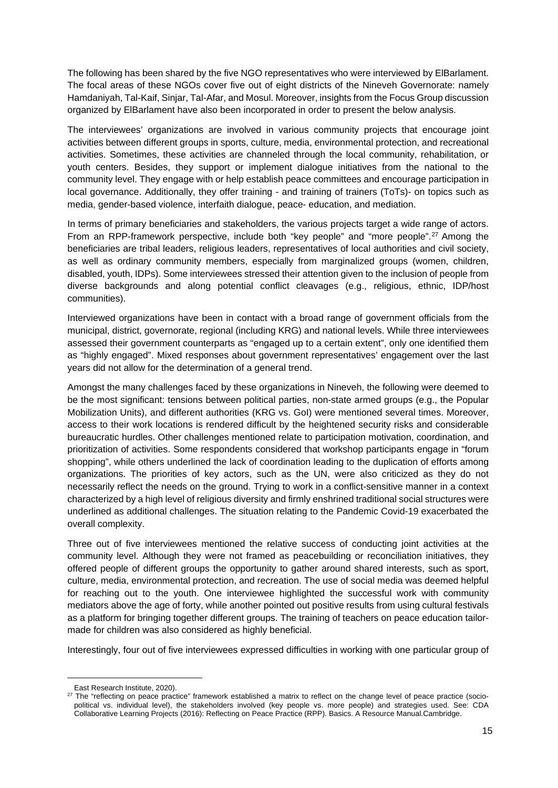The following has been shared by the five NGO representatives who were interviewed by ElBarlament. The focal areas of these NGOs cover five out of eight districts of the Nineveh Governorate: namely Hamdaniyah, Tal-Kaif, Sinjar, Tal-Afar, and Mosul. Moreover, insights from the Focus Group discussion organized by ElBarlament have also been incorporated in order to present the below analysis.

The interviewees' organizations are involved in various community projects that encourage joint activities between different groups in sports, culture, media, environmental protection, and recreational activities. Sometimes, these activities are channeled through the local community, rehabilitation, or youth centers. Besides, they support or implement dialogue initiatives from the national to the community level. They engage with or help establish peace committees and encourage participation in local governance. Additionally, they offer training - and training of trainers (ToTs)- on topics such as media, gender-based violence, interfaith dialogue, peace- education, and mediation.

In terms of primary beneficiaries and stakeholders, the various projects target a wide range of actors. From an RPP-framework perspective, include both "key people" and "more people".<sup>[27](#page-14-0)</sup> Among the beneficiaries are tribal leaders, religious leaders, representatives of local authorities and civil society, as well as ordinary community members, especially from marginalized groups (women, children, disabled, youth, IDPs). Some interviewees stressed their attention given to the inclusion of people from diverse backgrounds and along potential conflict cleavages (e.g., religious, ethnic, IDP/host communities).

Interviewed organizations have been in contact with a broad range of government officials from the municipal, district, governorate, regional (including KRG) and national levels. While three interviewees assessed their government counterparts as "engaged up to a certain extent", only one identified them as "highly engaged". Mixed responses about government representatives' engagement over the last years did not allow for the determination of a general trend.

Amongst the many challenges faced by these organizations in Nineveh, the following were deemed to be the most significant: tensions between political parties, non-state armed groups (e.g., the Popular Mobilization Units), and different authorities (KRG vs. GoI) were mentioned several times. Moreover, access to their work locations is rendered difficult by the heightened security risks and considerable bureaucratic hurdles. Other challenges mentioned relate to participation motivation, coordination, and prioritization of activities. Some respondents considered that workshop participants engage in "forum shopping", while others underlined the lack of coordination leading to the duplication of efforts among organizations. The priorities of key actors, such as the UN, were also criticized as they do not necessarily reflect the needs on the ground. Trying to work in a conflict-sensitive manner in a context characterized by a high level of religious diversity and firmly enshrined traditional social structures were underlined as additional challenges. The situation relating to the Pandemic Covid-19 exacerbated the overall complexity.

Three out of five interviewees mentioned the relative success of conducting joint activities at the community level. Although they were not framed as peacebuilding or reconciliation initiatives, they offered people of different groups the opportunity to gather around shared interests, such as sport, culture, media, environmental protection, and recreation. The use of social media was deemed helpful for reaching out to the youth. One interviewee highlighted the successful work with community mediators above the age of forty, while another pointed out positive results from using cultural festivals as a platform for bringing together different groups. The training of teachers on peace education tailormade for children was also considered as highly beneficial.

Interestingly, four out of five interviewees expressed difficulties in working with one particular group of

East Research Institute, 2020).

<span id="page-14-0"></span><sup>&</sup>lt;sup>27</sup> The "reflecting on peace practice" framework established a matrix to reflect on the change level of peace practice (sociopolitical vs. individual level), the stakeholders involved (key people vs. more people) and strategies used. See: CDA Collaborative Learning Projects (2016): Reflecting on Peace Practice (RPP). Basics. A Resource Manual.Cambridge.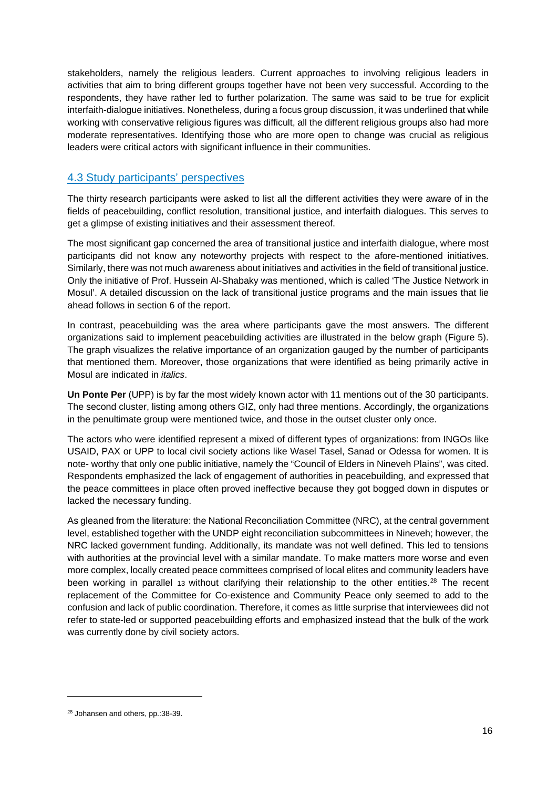stakeholders, namely the religious leaders. Current approaches to involving religious leaders in activities that aim to bring different groups together have not been very successful. According to the respondents, they have rather led to further polarization. The same was said to be true for explicit interfaith-dialogue initiatives. Nonetheless, during a focus group discussion, it was underlined that while working with conservative religious figures was difficult, all the different religious groups also had more moderate representatives. Identifying those who are more open to change was crucial as religious leaders were critical actors with significant influence in their communities.

#### <span id="page-15-0"></span>4.3 Study participants' perspectives

The thirty research participants were asked to list all the different activities they were aware of in the fields of peacebuilding, conflict resolution, transitional justice, and interfaith dialogues. This serves to get a glimpse of existing initiatives and their assessment thereof.

The most significant gap concerned the area of transitional justice and interfaith dialogue, where most participants did not know any noteworthy projects with respect to the afore-mentioned initiatives. Similarly, there was not much awareness about initiatives and activities in the field of transitional justice. Only the initiative of Prof. Hussein Al-Shabaky was mentioned, which is called 'The Justice Network in Mosul'. A detailed discussion on the lack of transitional justice programs and the main issues that lie ahead follows in section 6 of the report.

In contrast, peacebuilding was the area where participants gave the most answers. The different organizations said to implement peacebuilding activities are illustrated in the below graph (Figure 5). The graph visualizes the relative importance of an organization gauged by the number of participants that mentioned them. Moreover, those organizations that were identified as being primarily active in Mosul are indicated in *italics*.

**Un Ponte Per** (UPP) is by far the most widely known actor with 11 mentions out of the 30 participants. The second cluster, listing among others GIZ, only had three mentions. Accordingly, the organizations in the penultimate group were mentioned twice, and those in the outset cluster only once.

The actors who were identified represent a mixed of different types of organizations: from INGOs like USAID, PAX or UPP to local civil society actions like Wasel Tasel, Sanad or Odessa for women. It is note- worthy that only one public initiative, namely the "Council of Elders in Nineveh Plains", was cited. Respondents emphasized the lack of engagement of authorities in peacebuilding, and expressed that the peace committees in place often proved ineffective because they got bogged down in disputes or lacked the necessary funding.

As gleaned from the literature: the National Reconciliation Committee (NRC), at the central government level, established together with the UNDP eight reconciliation subcommittees in Nineveh; however, the NRC lacked government funding. Additionally, its mandate was not well defined. This led to tensions with authorities at the provincial level with a similar mandate. To make matters more worse and even more complex, locally created peace committees comprised of local elites and community leaders have been working in parallel 13 without clarifying their relationship to the other entities.<sup>[28](#page-15-1)</sup> The recent replacement of the Committee for Co-existence and Community Peace only seemed to add to the confusion and lack of public coordination. Therefore, it comes as little surprise that interviewees did not refer to state-led or supported peacebuilding efforts and emphasized instead that the bulk of the work was currently done by civil society actors.

<span id="page-15-1"></span><sup>28</sup> Johansen and others, pp.:38-39.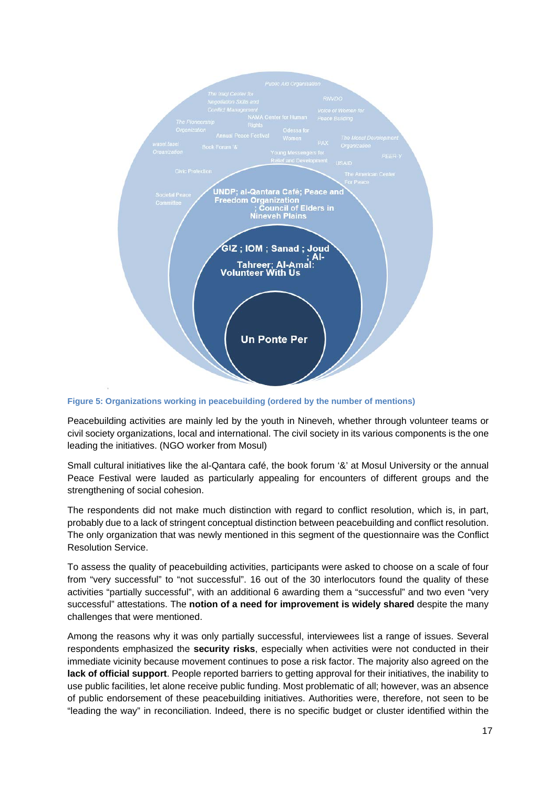

<span id="page-16-0"></span>**Figure 5: Organizations working in peacebuilding (ordered by the number of mentions)** 

Peacebuilding activities are mainly led by the youth in Nineveh, whether through volunteer teams or civil society organizations, local and international. The civil society in its various components is the one leading the initiatives. (NGO worker from Mosul)

Small cultural initiatives like the al-Qantara café, the book forum '&' at Mosul University or the annual Peace Festival were lauded as particularly appealing for encounters of different groups and the strengthening of social cohesion.

The respondents did not make much distinction with regard to conflict resolution, which is, in part, probably due to a lack of stringent conceptual distinction between peacebuilding and conflict resolution. The only organization that was newly mentioned in this segment of the questionnaire was the Conflict Resolution Service.

To assess the quality of peacebuilding activities, participants were asked to choose on a scale of four from "very successful" to "not successful". 16 out of the 30 interlocutors found the quality of these activities "partially successful", with an additional 6 awarding them a "successful" and two even "very successful" attestations. The **notion of a need for improvement is widely shared** despite the many challenges that were mentioned.

Among the reasons why it was only partially successful, interviewees list a range of issues. Several respondents emphasized the **security risks**, especially when activities were not conducted in their immediate vicinity because movement continues to pose a risk factor. The majority also agreed on the **lack of official support**. People reported barriers to getting approval for their initiatives, the inability to use public facilities, let alone receive public funding. Most problematic of all; however, was an absence of public endorsement of these peacebuilding initiatives. Authorities were, therefore, not seen to be "leading the way" in reconciliation. Indeed, there is no specific budget or cluster identified within the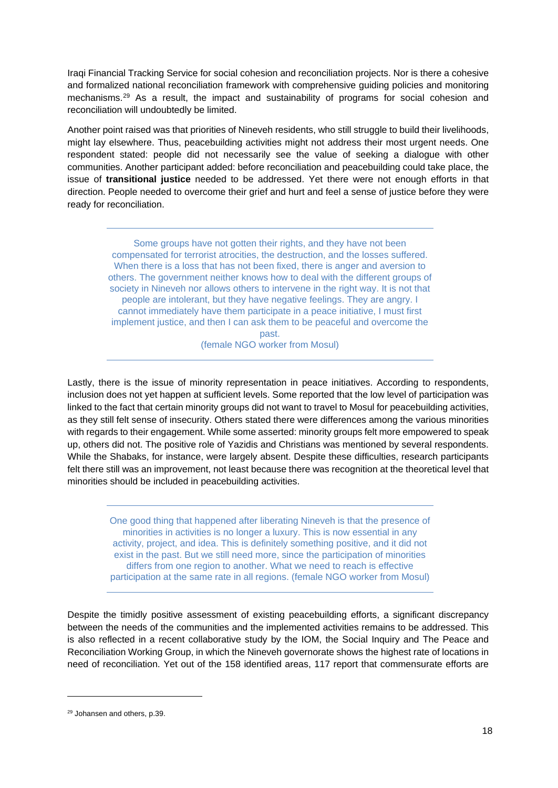Iraqi Financial Tracking Service for social cohesion and reconciliation projects. Nor is there a cohesive and formalized national reconciliation framework with comprehensive guiding policies and monitoring mechanisms.<sup>[29](#page-17-0)</sup> As a result, the impact and sustainability of programs for social cohesion and reconciliation will undoubtedly be limited.

Another point raised was that priorities of Nineveh residents, who still struggle to build their livelihoods, might lay elsewhere. Thus, peacebuilding activities might not address their most urgent needs. One respondent stated: people did not necessarily see the value of seeking a dialogue with other communities. Another participant added: before reconciliation and peacebuilding could take place, the issue of **transitional justice** needed to be addressed. Yet there were not enough efforts in that direction. People needed to overcome their grief and hurt and feel a sense of justice before they were ready for reconciliation.

Some groups have not gotten their rights, and they have not been compensated for terrorist atrocities, the destruction, and the losses suffered. When there is a loss that has not been fixed, there is anger and aversion to others. The government neither knows how to deal with the different groups of society in Nineveh nor allows others to intervene in the right way. It is not that people are intolerant, but they have negative feelings. They are angry. I cannot immediately have them participate in a peace initiative, I must first implement justice, and then I can ask them to be peaceful and overcome the past. (female NGO worker from Mosul)

Lastly, there is the issue of minority representation in peace initiatives. According to respondents, inclusion does not yet happen at sufficient levels. Some reported that the low level of participation was linked to the fact that certain minority groups did not want to travel to Mosul for peacebuilding activities, as they still felt sense of insecurity. Others stated there were differences among the various minorities with regards to their engagement. While some asserted: minority groups felt more empowered to speak up, others did not. The positive role of Yazidis and Christians was mentioned by several respondents. While the Shabaks, for instance, were largely absent. Despite these difficulties, research participants felt there still was an improvement, not least because there was recognition at the theoretical level that minorities should be included in peacebuilding activities.

One good thing that happened after liberating Nineveh is that the presence of minorities in activities is no longer a luxury. This is now essential in any activity, project, and idea. This is definitely something positive, and it did not exist in the past. But we still need more, since the participation of minorities differs from one region to another. What we need to reach is effective participation at the same rate in all regions. (female NGO worker from Mosul)

Despite the timidly positive assessment of existing peacebuilding efforts, a significant discrepancy between the needs of the communities and the implemented activities remains to be addressed. This is also reflected in a recent collaborative study by the IOM, the Social Inquiry and The Peace and Reconciliation Working Group, in which the Nineveh governorate shows the highest rate of locations in need of reconciliation. Yet out of the 158 identified areas, 117 report that commensurate efforts are

<span id="page-17-0"></span><sup>29</sup> Johansen and others, p.39.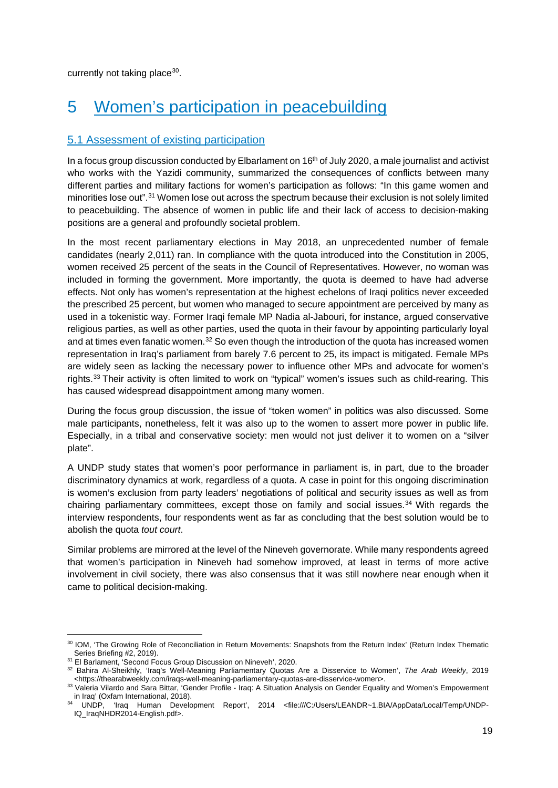<span id="page-18-0"></span>currently not taking place  $30$ .

## 5 Women's participation in peacebuilding

#### <span id="page-18-1"></span>5.1 Assessment of existing participation

In a focus group discussion conducted by Elbarlament on 16<sup>th</sup> of July 2020, a male journalist and activist who works with the Yazidi community, summarized the consequences of conflicts between many different parties and military factions for women's participation as follows: "In this game women and minorities lose out".[31](#page-18-3) Women lose out across the spectrum because their exclusion is not solely limited to peacebuilding. The absence of women in public life and their lack of access to decision-making positions are a general and profoundly societal problem.

In the most recent parliamentary elections in May 2018, an unprecedented number of female candidates (nearly 2,011) ran. In compliance with the quota introduced into the Constitution in 2005, women received 25 percent of the seats in the Council of Representatives. However, no woman was included in forming the government. More importantly, the quota is deemed to have had adverse effects. Not only has women's representation at the highest echelons of Iraqi politics never exceeded the prescribed 25 percent, but women who managed to secure appointment are perceived by many as used in a tokenistic way. Former Iraqi female MP Nadia al-Jabouri, for instance, argued conservative religious parties, as well as other parties, used the quota in their favour by appointing particularly loyal and at times even fanatic women. $32$  So even though the introduction of the quota has increased women representation in Iraq's parliament from barely 7.6 percent to 25, its impact is mitigated. Female MPs are widely seen as lacking the necessary power to influence other MPs and advocate for women's rights.[33](#page-18-5) Their activity is often limited to work on "typical" women's issues such as child-rearing. This has caused widespread disappointment among many women.

During the focus group discussion, the issue of "token women" in politics was also discussed. Some male participants, nonetheless, felt it was also up to the women to assert more power in public life. Especially, in a tribal and conservative society: men would not just deliver it to women on a "silver plate".

A UNDP study states that women's poor performance in parliament is, in part, due to the broader discriminatory dynamics at work, regardless of a quota. A case in point for this ongoing discrimination is women's exclusion from party leaders' negotiations of political and security issues as well as from chairing parliamentary committees, except those on family and social issues.<sup>[34](#page-18-6)</sup> With regards the interview respondents, four respondents went as far as concluding that the best solution would be to abolish the quota *tout court*.

Similar problems are mirrored at the level of the Nineveh governorate. While many respondents agreed that women's participation in Nineveh had somehow improved, at least in terms of more active involvement in civil society, there was also consensus that it was still nowhere near enough when it came to political decision-making.

<span id="page-18-2"></span><sup>&</sup>lt;sup>30</sup> IOM, 'The Growing Role of Reconciliation in Return Movements: Snapshots from the Return Index' (Return Index Thematic Series Briefing #2, 2019).

<span id="page-18-3"></span><sup>31</sup> El Barlament, 'Second Focus Group Discussion on Nineveh', 2020.

<span id="page-18-4"></span><sup>32</sup> Bahira Al-Sheikhly, 'Iraq's Well-Meaning Parliamentary Quotas Are a Disservice to Women', *The Arab Weekly*, 2019 <https://thearabweekly.com/iraqs-well-meaning-parliamentary-quotas-are-disservice-women>.

<span id="page-18-5"></span><sup>33</sup> Valeria Vilardo and Sara Bittar, 'Gender Profile - Iraq: A Situation Analysis on Gender Equality and Women's Empowerment in Iraq' (Oxfam International, 2018).

<span id="page-18-6"></span><sup>34</sup> UNDP, 'Iraq Human Development Report', 2014 <file:///C:/Users/LEANDR~1.BIA/AppData/Local/Temp/UNDP-IQ\_IraqNHDR2014-English.pdf>.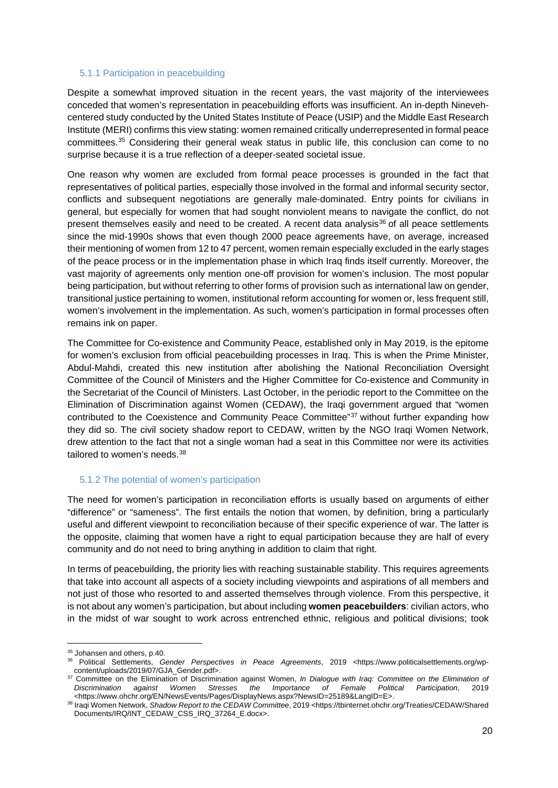#### <span id="page-19-0"></span>5.1.1 Participation in peacebuilding

Despite a somewhat improved situation in the recent years, the vast majority of the interviewees conceded that women's representation in peacebuilding efforts was insufficient. An in-depth Ninevehcentered study conducted by the United States Institute of Peace (USIP) and the Middle East Research Institute (MERI) confirms this view stating: women remained critically underrepresented in formal peace committees.[35](#page-19-2) Considering their general weak status in public life, this conclusion can come to no surprise because it is a true reflection of a deeper-seated societal issue.

One reason why women are excluded from formal peace processes is grounded in the fact that representatives of political parties, especially those involved in the formal and informal security sector, conflicts and subsequent negotiations are generally male-dominated. Entry points for civilians in general, but especially for women that had sought nonviolent means to navigate the conflict, do not present themselves easily and need to be created. A recent data analysis $36$  of all peace settlements since the mid-1990s shows that even though 2000 peace agreements have, on average, increased their mentioning of women from 12 to 47 percent, women remain especially excluded in the early stages of the peace process or in the implementation phase in which Iraq finds itself currently. Moreover, the vast majority of agreements only mention one-off provision for women's inclusion. The most popular being participation, but without referring to other forms of provision such as international law on gender, transitional justice pertaining to women, institutional reform accounting for women or, less frequent still, women's involvement in the implementation. As such, women's participation in formal processes often remains ink on paper.

The Committee for Co-existence and Community Peace, established only in May 2019, is the epitome for women's exclusion from official peacebuilding processes in Iraq. This is when the Prime Minister, Abdul-Mahdi, created this new institution after abolishing the National Reconciliation Oversight Committee of the Council of Ministers and the Higher Committee for Co-existence and Community in the Secretariat of the Council of Ministers. Last October, in the periodic report to the Committee on the Elimination of Discrimination against Women (CEDAW), the Iraqi government argued that "women contributed to the Coexistence and Community Peace Committee"[37](#page-19-4) without further expanding how they did so. The civil society shadow report to CEDAW, written by the NGO Iraqi Women Network, drew attention to the fact that not a single woman had a seat in this Committee nor were its activities tailored to women's needs.<sup>38</sup>

#### <span id="page-19-1"></span>5.1.2 The potential of women's participation

The need for women's participation in reconciliation efforts is usually based on arguments of either "difference" or "sameness". The first entails the notion that women, by definition, bring a particularly useful and different viewpoint to reconciliation because of their specific experience of war. The latter is the opposite, claiming that women have a right to equal participation because they are half of every community and do not need to bring anything in addition to claim that right.

In terms of peacebuilding, the priority lies with reaching sustainable stability. This requires agreements that take into account all aspects of a society including viewpoints and aspirations of all members and not just of those who resorted to and asserted themselves through violence. From this perspective, it is not about any women's participation, but about including **women peacebuilders**: civilian actors, who in the midst of war sought to work across entrenched ethnic, religious and political divisions; took

<span id="page-19-2"></span><sup>35</sup> Johansen and others, p.40.

<span id="page-19-3"></span><sup>36</sup> Political Settlements, *Gender Perspectives in Peace Agreements*, 2019 <https://www.politicalsettlements.org/wpcontent/uploads/2019/07/GJA\_Gender.pdf>.

<span id="page-19-4"></span><sup>&</sup>lt;sup>37</sup> Committee on the Elimination of Discrimination against Women, *In Dialogue with Iraq: Committee on the Elimination of Discrimination against Women Stresses the Importance of Female Political Participation*, 2019 <https://www.ohchr.org/EN/NewsEvents/Pages/DisplayNews.aspx?NewsID=25189&LangID=E>.

<span id="page-19-5"></span><sup>38</sup> Iraqi Women Network, *Shadow Report to the CEDAW Committee*, 2019 <https://tbinternet.ohchr.org/Treaties/CEDAW/Shared Documents/IRQ/INT\_CEDAW\_CSS\_IRQ\_37264\_E.docx>.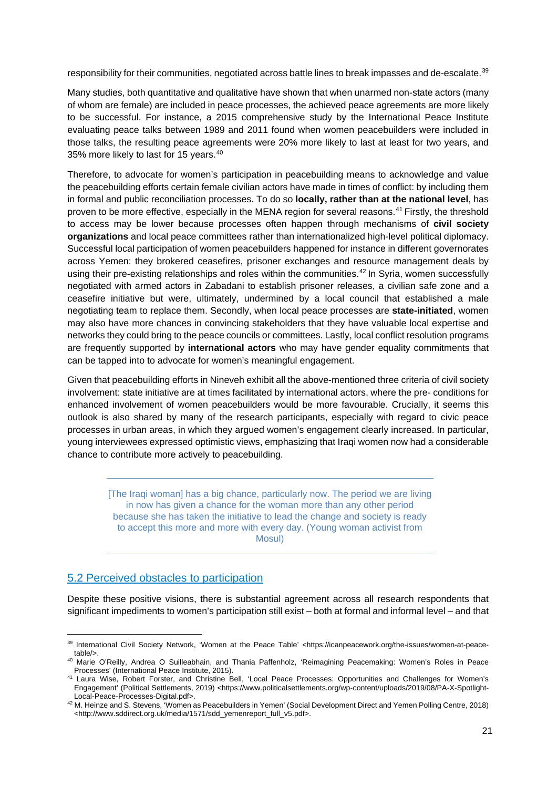responsibility for their communities, negotiated across battle lines to break impasses and de-escalate.<sup>[39](#page-20-1)</sup>

Many studies, both quantitative and qualitative have shown that when unarmed non-state actors (many of whom are female) are included in peace processes, the achieved peace agreements are more likely to be successful. For instance, a 2015 comprehensive study by the International Peace Institute evaluating peace talks between 1989 and 2011 found when women peacebuilders were included in those talks, the resulting peace agreements were 20% more likely to last at least for two years, and 35% more likely to last for 15 years.<sup>[40](#page-20-2)</sup>

Therefore, to advocate for women's participation in peacebuilding means to acknowledge and value the peacebuilding efforts certain female civilian actors have made in times of conflict: by including them in formal and public reconciliation processes. To do so **locally, rather than at the national level**, has proven to be more effective, especially in the MENA region for several reasons.<sup>41</sup> Firstly, the threshold to access may be lower because processes often happen through mechanisms of **civil society organizations** and local peace committees rather than internationalized high-level political diplomacy. Successful local participation of women peacebuilders happened for instance in different governorates across Yemen: they brokered ceasefires, prisoner exchanges and resource management deals by using their pre-existing relationships and roles within the communities.<sup>[42](#page-20-4)</sup> In Syria, women successfully negotiated with armed actors in Zabadani to establish prisoner releases, a civilian safe zone and a ceasefire initiative but were, ultimately, undermined by a local council that established a male negotiating team to replace them. Secondly, when local peace processes are **state-initiated**, women may also have more chances in convincing stakeholders that they have valuable local expertise and networks they could bring to the peace councils or committees. Lastly, local conflict resolution programs are frequently supported by **international actors** who may have gender equality commitments that can be tapped into to advocate for women's meaningful engagement.

Given that peacebuilding efforts in Nineveh exhibit all the above-mentioned three criteria of civil society involvement: state initiative are at times facilitated by international actors, where the pre- conditions for enhanced involvement of women peacebuilders would be more favourable. Crucially, it seems this outlook is also shared by many of the research participants, especially with regard to civic peace processes in urban areas, in which they argued women's engagement clearly increased. In particular, young interviewees expressed optimistic views, emphasizing that Iraqi women now had a considerable chance to contribute more actively to peacebuilding.

[The Iraqi woman] has a big chance, particularly now. The period we are living in now has given a chance for the woman more than any other period because she has taken the initiative to lead the change and society is ready to accept this more and more with every day. (Young woman activist from Mosul)

#### <span id="page-20-0"></span>5.2 Perceived obstacles to participation

Despite these positive visions, there is substantial agreement across all research respondents that significant impediments to women's participation still exist – both at formal and informal level – and that

<span id="page-20-1"></span><sup>39</sup> International Civil Society Network, 'Women at the Peace Table' <https://icanpeacework.org/the-issues/women-at-peacetable/>.

<span id="page-20-2"></span><sup>40</sup> Marie O'Reilly, Andrea O Suilleabhain, and Thania Paffenholz, 'Reimagining Peacemaking: Women's Roles in Peace Processes' (International Peace Institute, 2015).

<span id="page-20-3"></span><sup>41</sup> Laura Wise, Robert Forster, and Christine Bell, 'Local Peace Processes: Opportunities and Challenges for Women's Engagement' (Political Settlements, 2019) <https://www.politicalsettlements.org/wp-content/uploads/2019/08/PA-X-Spotlight-Local-Peace-Processes-Digital.pdf>.

<span id="page-20-4"></span><sup>42</sup> M. Heinze and S. Stevens, 'Women as Peacebuilders in Yemen' (Social Development Direct and Yemen Polling Centre, 2018) <http://www.sddirect.org.uk/media/1571/sdd\_yemenreport\_full\_v5.pdf>.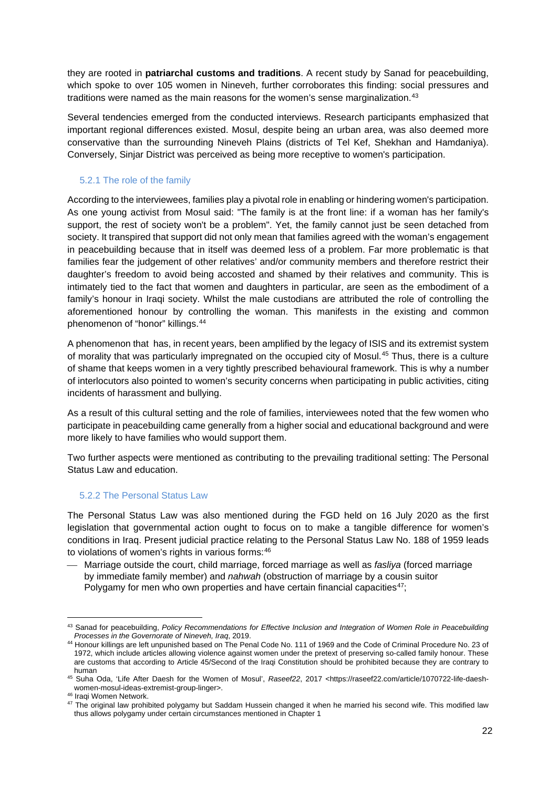they are rooted in **patriarchal customs and traditions**. A recent study by Sanad for peacebuilding, which spoke to over 105 women in Nineveh, further corroborates this finding: social pressures and traditions were named as the main reasons for the women's sense marginalization.<sup>[43](#page-21-2)</sup>

Several tendencies emerged from the conducted interviews. Research participants emphasized that important regional differences existed. Mosul, despite being an urban area, was also deemed more conservative than the surrounding Nineveh Plains (districts of Tel Kef, Shekhan and Hamdaniya). Conversely, Sinjar District was perceived as being more receptive to women's participation.

#### <span id="page-21-0"></span>5.2.1 The role of the family

According to the interviewees, families play a pivotal role in enabling or hindering women's participation. As one young activist from Mosul said: "The family is at the front line: if a woman has her family's support, the rest of society won't be a problem". Yet, the family cannot just be seen detached from society. It transpired that support did not only mean that families agreed with the woman's engagement in peacebuilding because that in itself was deemed less of a problem. Far more problematic is that families fear the judgement of other relatives' and/or community members and therefore restrict their daughter's freedom to avoid being accosted and shamed by their relatives and community. This is intimately tied to the fact that women and daughters in particular, are seen as the embodiment of a family's honour in Iraqi society. Whilst the male custodians are attributed the role of controlling the aforementioned honour by controlling the woman. This manifests in the existing and common phenomenon of "honor" killings.[44](#page-21-3)

A phenomenon that has, in recent years, been amplified by the legacy of ISIS and its extremist system of morality that was particularly impregnated on the occupied city of Mosul.[45](#page-21-4) Thus, there is a culture of shame that keeps women in a very tightly prescribed behavioural framework. This is why a number of interlocutors also pointed to women's security concerns when participating in public activities, citing incidents of harassment and bullying.

As a result of this cultural setting and the role of families, interviewees noted that the few women who participate in peacebuilding came generally from a higher social and educational background and were more likely to have families who would support them.

Two further aspects were mentioned as contributing to the prevailing traditional setting: The Personal Status Law and education.

#### <span id="page-21-1"></span>5.2.2 The Personal Status Law

The Personal Status Law was also mentioned during the FGD held on 16 July 2020 as the first legislation that governmental action ought to focus on to make a tangible difference for women's conditions in Iraq. Present judicial practice relating to the Personal Status Law No. 188 of 1959 leads to violations of women's rights in various forms: [46](#page-21-5)

 Marriage outside the court, child marriage, forced marriage as well as *fasliya* (forced marriage by immediate family member) and *nahwah* (obstruction of marriage by a cousin suitor Polygamy for men who own properties and have certain financial capacities<sup>[47](#page-21-6)</sup>;

<span id="page-21-2"></span><sup>43</sup> Sanad for peacebuilding, *Policy Recommendations for Effective Inclusion and Integration of Women Role in Peacebuilding Processes in the Governorate of Nineveh, Iraq*, 2019.

<span id="page-21-3"></span><sup>44</sup> Honour killings are left unpunished based on The Penal Code No. 111 of 1969 and the Code of Criminal Procedure No. 23 of 1972, which include articles allowing violence against women under the pretext of preserving so-called family honour. These are customs that according to Article 45/Second of the Iraqi Constitution should be prohibited because they are contrary to human

<span id="page-21-4"></span><sup>45</sup> Suha Oda, 'Life After Daesh for the Women of Mosul', *Raseef22*, 2017 <https://raseef22.com/article/1070722-life-daeshwomen-mosul-ideas-extremist-group-linger>.

<span id="page-21-5"></span><sup>46</sup> Iraqi Women Network.

<span id="page-21-6"></span><sup>&</sup>lt;sup>47</sup> The original law prohibited polygamy but Saddam Hussein changed it when he married his second wife. This modified law thus allows polygamy under certain circumstances mentioned in Chapter 1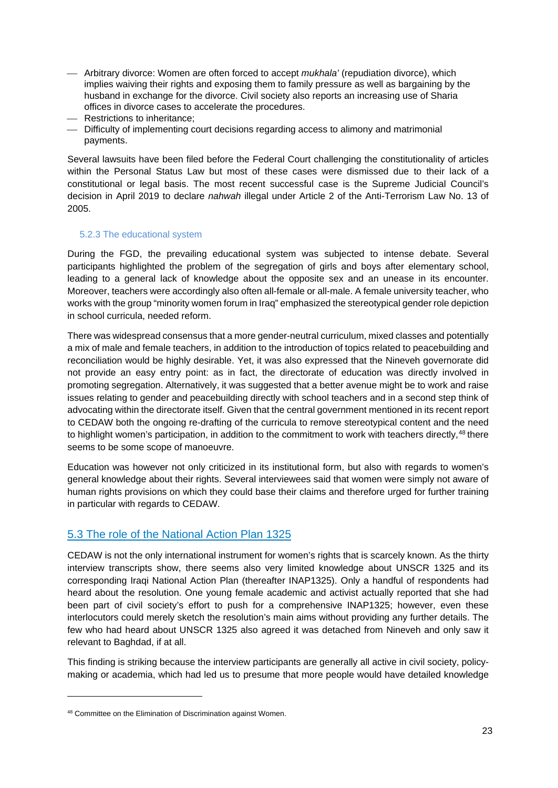- Arbitrary divorce: Women are often forced to accept *mukhala'* (repudiation divorce), which implies waiving their rights and exposing them to family pressure as well as bargaining by the husband in exchange for the divorce. Civil society also reports an increasing use of Sharia offices in divorce cases to accelerate the procedures.
- Restrictions to inheritance;
- Difficulty of implementing court decisions regarding access to alimony and matrimonial payments.

Several lawsuits have been filed before the Federal Court challenging the constitutionality of articles within the Personal Status Law but most of these cases were dismissed due to their lack of a constitutional or legal basis. The most recent successful case is the Supreme Judicial Council's decision in April 2019 to declare *nahwah* illegal under Article 2 of the Anti-Terrorism Law No. 13 of 2005.

#### <span id="page-22-0"></span>5.2.3 The educational system

During the FGD, the prevailing educational system was subjected to intense debate. Several participants highlighted the problem of the segregation of girls and boys after elementary school, leading to a general lack of knowledge about the opposite sex and an unease in its encounter. Moreover, teachers were accordingly also often all-female or all-male. A female university teacher, who works with the group "minority women forum in Iraq" emphasized the stereotypical gender role depiction in school curricula, needed reform.

There was widespread consensus that a more gender-neutral curriculum, mixed classes and potentially a mix of male and female teachers, in addition to the introduction of topics related to peacebuilding and reconciliation would be highly desirable. Yet, it was also expressed that the Nineveh governorate did not provide an easy entry point: as in fact, the directorate of education was directly involved in promoting segregation. Alternatively, it was suggested that a better avenue might be to work and raise issues relating to gender and peacebuilding directly with school teachers and in a second step think of advocating within the directorate itself. Given that the central government mentioned in its recent report to CEDAW both the ongoing re-drafting of the curricula to remove stereotypical content and the need to highlight women's participation, in addition to the commitment to work with teachers directly,<sup>[48](#page-22-2)</sup> there seems to be some scope of manoeuvre.

Education was however not only criticized in its institutional form, but also with regards to women's general knowledge about their rights. Several interviewees said that women were simply not aware of human rights provisions on which they could base their claims and therefore urged for further training in particular with regards to CEDAW.

#### <span id="page-22-1"></span>5.3 The role of the National Action Plan 1325

CEDAW is not the only international instrument for women's rights that is scarcely known. As the thirty interview transcripts show, there seems also very limited knowledge about UNSCR 1325 and its corresponding Iraqi National Action Plan (thereafter INAP1325). Only a handful of respondents had heard about the resolution. One young female academic and activist actually reported that she had been part of civil society's effort to push for a comprehensive INAP1325; however, even these interlocutors could merely sketch the resolution's main aims without providing any further details. The few who had heard about UNSCR 1325 also agreed it was detached from Nineveh and only saw it relevant to Baghdad, if at all.

This finding is striking because the interview participants are generally all active in civil society, policymaking or academia, which had led us to presume that more people would have detailed knowledge

<span id="page-22-2"></span><sup>48</sup> Committee on the Elimination of Discrimination against Women.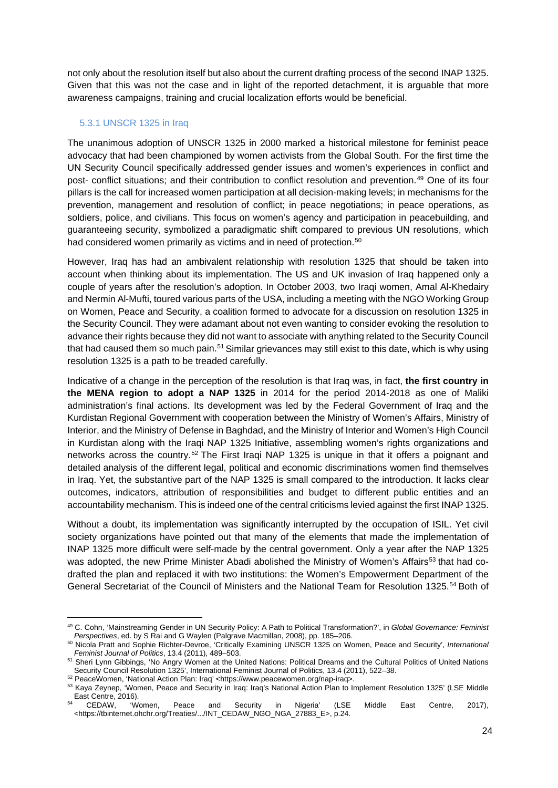not only about the resolution itself but also about the current drafting process of the second INAP 1325. Given that this was not the case and in light of the reported detachment, it is arguable that more awareness campaigns, training and crucial localization efforts would be beneficial.

#### <span id="page-23-0"></span>5.3.1 UNSCR 1325 in Iraq

The unanimous adoption of UNSCR 1325 in 2000 marked a historical milestone for feminist peace advocacy that had been championed by women activists from the Global South. For the first time the UN Security Council specifically addressed gender issues and women's experiences in conflict and post- conflict situations; and their contribution to conflict resolution and prevention.[49](#page-23-1) One of its four pillars is the call for increased women participation at all decision-making levels; in mechanisms for the prevention, management and resolution of conflict; in peace negotiations; in peace operations, as soldiers, police, and civilians. This focus on women's agency and participation in peacebuilding, and guaranteeing security, symbolized a paradigmatic shift compared to previous UN resolutions, which had considered women primarily as victims and in need of protection.<sup>[50](#page-23-2)</sup>

However, Iraq has had an ambivalent relationship with resolution 1325 that should be taken into account when thinking about its implementation. The US and UK invasion of Iraq happened only a couple of years after the resolution's adoption. In October 2003, two Iraqi women, Amal Al-Khedairy and Nermin Al-Mufti, toured various parts of the USA, including a meeting with the NGO Working Group on Women, Peace and Security, a coalition formed to advocate for a discussion on resolution 1325 in the Security Council. They were adamant about not even wanting to consider evoking the resolution to advance their rights because they did not want to associate with anything related to the Security Council that had caused them so much pain.<sup>[51](#page-23-3)</sup> Similar grievances may still exist to this date, which is why using resolution 1325 is a path to be treaded carefully.

Indicative of a change in the perception of the resolution is that Iraq was, in fact, **the first country in the MENA region to adopt a NAP 1325** in 2014 for the period 2014-2018 as one of Maliki administration's final actions. Its development was led by the Federal Government of Iraq and the Kurdistan Regional Government with cooperation between the Ministry of Women's Affairs, Ministry of Interior, and the Ministry of Defense in Baghdad, and the Ministry of Interior and Women's High Council in Kurdistan along with the Iraqi NAP 1325 Initiative, assembling women's rights organizations and networks across the country.[52](#page-23-4) The First Iraqi NAP 1325 is unique in that it offers a poignant and detailed analysis of the different legal, political and economic discriminations women find themselves in Iraq. Yet, the substantive part of the NAP 1325 is small compared to the introduction. It lacks clear outcomes, indicators, attribution of responsibilities and budget to different public entities and an accountability mechanism. This is indeed one of the central criticisms levied against the first INAP 1325.

Without a doubt, its implementation was significantly interrupted by the occupation of ISIL. Yet civil society organizations have pointed out that many of the elements that made the implementation of INAP 1325 more difficult were self-made by the central government. Only a year after the NAP 1325 was adopted, the new Prime Minister Abadi abolished the Ministry of Women's Affairs<sup>[53](#page-23-5)</sup> that had codrafted the plan and replaced it with two institutions: the Women's Empowerment Department of the General Secretariat of the Council of Ministers and the National Team for Resolution 1325.<sup>[54](#page-23-6)</sup> Both of

<span id="page-23-1"></span><sup>49</sup> C. Cohn, 'Mainstreaming Gender in UN Security Policy: A Path to Political Transformation?', in *Global Governance: Feminist Perspectives*, ed. by S Rai and G Waylen (Palgrave Macmillan, 2008), pp. 185–206.

<span id="page-23-2"></span><sup>50</sup> Nicola Pratt and Sophie Richter-Devroe, 'Critically Examining UNSCR 1325 on Women, Peace and Security', *International Feminist Journal of Politics*, 13.4 (2011), 489–503.

<span id="page-23-3"></span><sup>51</sup> Sheri Lynn Gibbings, 'No Angry Women at the United Nations: Political Dreams and the Cultural Politics of United Nations Security Council Resolution 1325', International Feminist Journal of Politics, 13.4 (2011), 522-38.

<span id="page-23-4"></span><sup>52</sup> PeaceWomen, 'National Action Plan: Iraq' <https://www.peacewomen.org/nap-iraq>.

<span id="page-23-5"></span><sup>53</sup> Kaya Zeynep, 'Women, Peace and Security in Iraq: Iraq's National Action Plan to Implement Resolution 1325' (LSE Middle East Centre, 2016).<br><sup>54</sup> CEDAW, 'W

<span id="page-23-6"></span><sup>&</sup>lt;sup>54</sup> CEDAW, 'Women, Peace and Security in Nigeria' (LSE Middle East Centre, 2017), <https://tbinternet.ohchr.org/Treaties/.../INT\_CEDAW\_NGO\_NGA\_27883\_E>, p.24.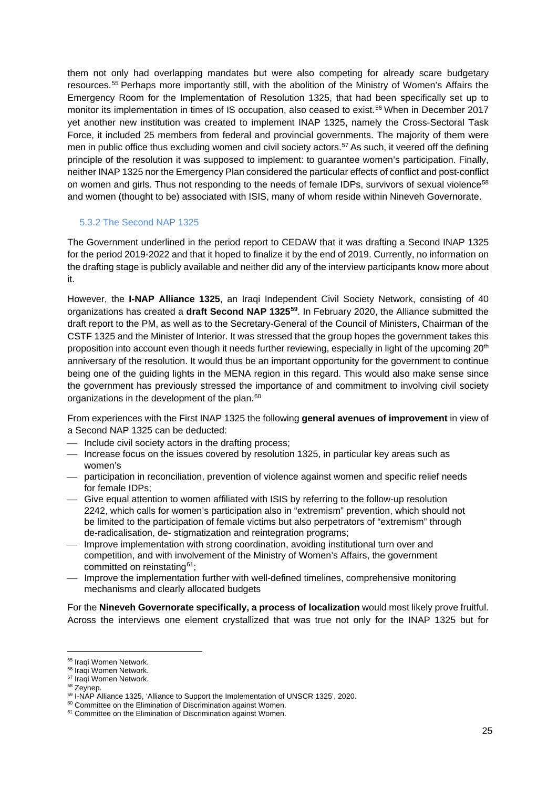them not only had overlapping mandates but were also competing for already scare budgetary resources. [55](#page-24-1) Perhaps more importantly still, with the abolition of the Ministry of Women's Affairs the Emergency Room for the Implementation of Resolution 1325, that had been specifically set up to monitor its implementation in times of IS occupation, also ceased to exist.<sup>56</sup> When in December 2017 yet another new institution was created to implement INAP 1325, namely the Cross-Sectoral Task Force, it included 25 members from federal and provincial governments. The majority of them were men in public office thus excluding women and civil society actors.<sup>[57](#page-24-3)</sup> As such, it veered off the defining principle of the resolution it was supposed to implement: to guarantee women's participation. Finally, neither INAP 1325 nor the Emergency Plan considered the particular effects of conflict and post-conflict on women and girls. Thus not responding to the needs of female IDPs, survivors of sexual violence<sup>[58](#page-24-4)</sup> and women (thought to be) associated with ISIS, many of whom reside within Nineveh Governorate.

#### <span id="page-24-0"></span>5.3.2 The Second NAP 1325

The Government underlined in the period report to CEDAW that it was drafting a Second INAP 1325 for the period 2019-2022 and that it hoped to finalize it by the end of 2019. Currently, no information on the drafting stage is publicly available and neither did any of the interview participants know more about it.

However, the **I-NAP Alliance 1325**, an Iraqi Independent Civil Society Network, consisting of 40 organizations has created a **draft Second NAP 1325[59](#page-24-5)**. In February 2020, the Alliance submitted the draft report to the PM, as well as to the Secretary-General of the Council of Ministers, Chairman of the CSTF 1325 and the Minister of Interior. It was stressed that the group hopes the government takes this proposition into account even though it needs further reviewing, especially in light of the upcoming 20<sup>th</sup> anniversary of the resolution. It would thus be an important opportunity for the government to continue being one of the guiding lights in the MENA region in this regard. This would also make sense since the government has previously stressed the importance of and commitment to involving civil society organizations in the development of the plan.<sup>[60](#page-24-6)</sup>

From experiences with the First INAP 1325 the following **general avenues of improvement** in view of a Second NAP 1325 can be deducted:

- $\equiv$  Include civil society actors in the drafting process;
- $-$  Increase focus on the issues covered by resolution 1325, in particular key areas such as women's
- participation in reconciliation, prevention of violence against women and specific relief needs for female IDPs;
- Give equal attention to women affiliated with ISIS by referring to the follow-up resolution 2242, which calls for women's participation also in "extremism" prevention, which should not be limited to the participation of female victims but also perpetrators of "extremism" through de-radicalisation, de- stigmatization and reintegration programs;
- Improve implementation with strong coordination, avoiding institutional turn over and competition, and with involvement of the Ministry of Women's Affairs, the government committed on reinstating[61;](#page-24-7)
- Improve the implementation further with well-defined timelines, comprehensive monitoring mechanisms and clearly allocated budgets

For the **Nineveh Governorate specifically, a process of localization** would most likely prove fruitful. Across the interviews one element crystallized that was true not only for the INAP 1325 but for

<span id="page-24-1"></span><sup>55</sup> Iraqi Women Network.

<span id="page-24-2"></span><sup>56</sup> Iraqi Women Network.

<span id="page-24-3"></span><sup>57</sup> Iraqi Women Network.

<span id="page-24-4"></span><sup>58</sup> Zeynep.

<span id="page-24-5"></span><sup>59</sup> I-NAP Alliance 1325, 'Alliance to Support the Implementation of UNSCR 1325', 2020.

<span id="page-24-6"></span><sup>&</sup>lt;sup>60</sup> Committee on the Elimination of Discrimination against Women.

<span id="page-24-7"></span><sup>&</sup>lt;sup>61</sup> Committee on the Elimination of Discrimination against Women.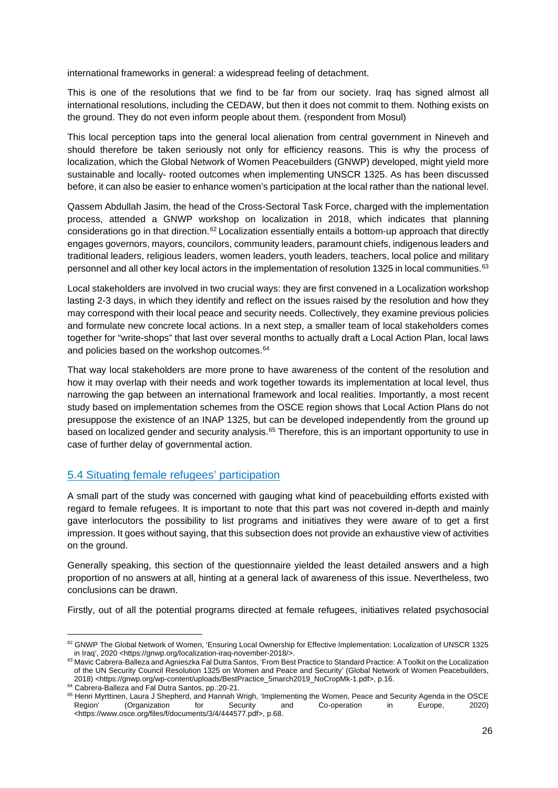international frameworks in general: a widespread feeling of detachment.

This is one of the resolutions that we find to be far from our society. Iraq has signed almost all international resolutions, including the CEDAW, but then it does not commit to them. Nothing exists on the ground. They do not even inform people about them. (respondent from Mosul)

This local perception taps into the general local alienation from central government in Nineveh and should therefore be taken seriously not only for efficiency reasons. This is why the process of localization, which the Global Network of Women Peacebuilders (GNWP) developed, might yield more sustainable and locally- rooted outcomes when implementing UNSCR 1325. As has been discussed before, it can also be easier to enhance women's participation at the local rather than the national level.

Qassem Abdullah Jasim, the head of the Cross-Sectoral Task Force, charged with the implementation process, attended a GNWP workshop on localization in 2018, which indicates that planning considerations go in that direction.[62](#page-25-1) Localization essentially entails a bottom-up approach that directly engages governors, mayors, councilors, community leaders, paramount chiefs, indigenous leaders and traditional leaders, religious leaders, women leaders, youth leaders, teachers, local police and military personnel and all other key local actors in the implementation of resolution 1325 in local communities.<sup>[63](#page-25-2)</sup>

Local stakeholders are involved in two crucial ways: they are first convened in a Localization workshop lasting 2-3 days, in which they identify and reflect on the issues raised by the resolution and how they may correspond with their local peace and security needs. Collectively, they examine previous policies and formulate new concrete local actions. In a next step, a smaller team of local stakeholders comes together for "write-shops" that last over several months to actually draft a Local Action Plan, local laws and policies based on the workshop outcomes.<sup>[64](#page-25-3)</sup>

That way local stakeholders are more prone to have awareness of the content of the resolution and how it may overlap with their needs and work together towards its implementation at local level, thus narrowing the gap between an international framework and local realities. Importantly, a most recent study based on implementation schemes from the OSCE region shows that Local Action Plans do not presuppose the existence of an INAP 1325, but can be developed independently from the ground up based on localized gender and security analysis.<sup>[65](#page-25-4)</sup> Therefore, this is an important opportunity to use in case of further delay of governmental action.

#### <span id="page-25-0"></span>5.4 Situating female refugees' participation

A small part of the study was concerned with gauging what kind of peacebuilding efforts existed with regard to female refugees. It is important to note that this part was not covered in-depth and mainly gave interlocutors the possibility to list programs and initiatives they were aware of to get a first impression. It goes without saying, that this subsection does not provide an exhaustive view of activities on the ground.

Generally speaking, this section of the questionnaire yielded the least detailed answers and a high proportion of no answers at all, hinting at a general lack of awareness of this issue. Nevertheless, two conclusions can be drawn.

Firstly, out of all the potential programs directed at female refugees, initiatives related psychosocial

<span id="page-25-1"></span><sup>62</sup> GNWP The Global Network of Women, 'Ensuring Local Ownership for Effective Implementation: Localization of UNSCR 1325 in Iraq', 2020 <https://gnwp.org/localization-iraq-november-2018/>.

<span id="page-25-2"></span><sup>63</sup> Mavic Cabrera-Balleza and Agnieszka Fal Dutra Santos, 'From Best Practice to Standard Practice: A Toolkit on the Localization of the UN Security Council Resolution 1325 on Women and Peace and Security' (Global Network of Women Peacebuilders, 2018) <https://gnwp.org/wp-content/uploads/BestPractice\_5march2019\_NoCropMk-1.pdf>, p.16.

<sup>&</sup>lt;sup>64</sup> Cabrera-Balleza and Fal Dutra Santos, pp.:20-21.

<span id="page-25-4"></span><span id="page-25-3"></span><sup>&</sup>lt;sup>65</sup> Henri Myrttinen, Laura J Shepherd, and Hannah Wrigh, 'Implementing the Women, Peace and Security Agenda in the OSCE Region' (Organization for Security and Co-operation in Europe, 2020) <https://www.osce.org/files/f/documents/3/4/444577.pdf>, p.68.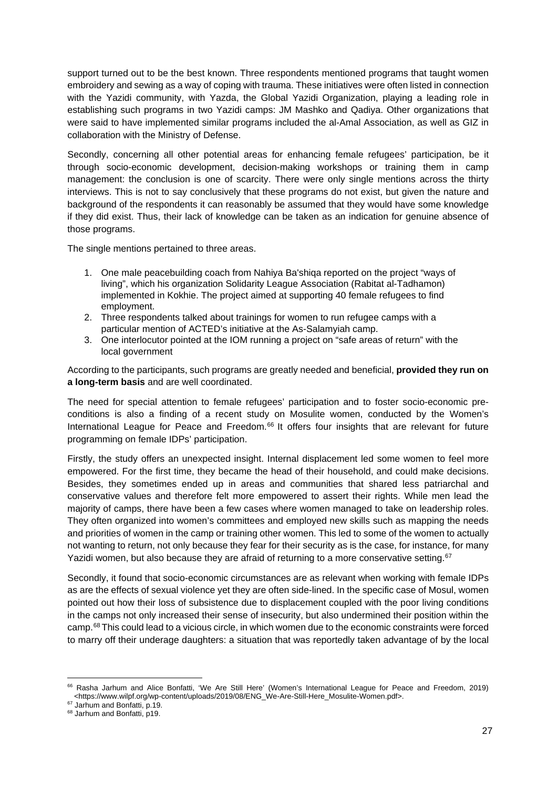support turned out to be the best known. Three respondents mentioned programs that taught women embroidery and sewing as a way of coping with trauma. These initiatives were often listed in connection with the Yazidi community, with Yazda, the Global Yazidi Organization, playing a leading role in establishing such programs in two Yazidi camps: JM Mashko and Qadiya. Other organizations that were said to have implemented similar programs included the al-Amal Association, as well as GIZ in collaboration with the Ministry of Defense.

Secondly, concerning all other potential areas for enhancing female refugees' participation, be it through socio-economic development, decision-making workshops or training them in camp management: the conclusion is one of scarcity. There were only single mentions across the thirty interviews. This is not to say conclusively that these programs do not exist, but given the nature and background of the respondents it can reasonably be assumed that they would have some knowledge if they did exist. Thus, their lack of knowledge can be taken as an indication for genuine absence of those programs.

The single mentions pertained to three areas.

- 1. One male peacebuilding coach from Nahiya Ba'shiqa reported on the project "ways of living", which his organization Solidarity League Association (Rabitat al-Tadhamon) implemented in Kokhie. The project aimed at supporting 40 female refugees to find employment.
- 2. Three respondents talked about trainings for women to run refugee camps with a particular mention of ACTED's initiative at the As-Salamyiah camp.
- 3. One interlocutor pointed at the IOM running a project on "safe areas of return" with the local government

According to the participants, such programs are greatly needed and beneficial, **provided they run on a long-term basis** and are well coordinated.

The need for special attention to female refugees' participation and to foster socio-economic preconditions is also a finding of a recent study on Mosulite women, conducted by the Women's International League for Peace and Freedom.<sup>[66](#page-26-0)</sup> It offers four insights that are relevant for future programming on female IDPs' participation.

Firstly, the study offers an unexpected insight. Internal displacement led some women to feel more empowered. For the first time, they became the head of their household, and could make decisions. Besides, they sometimes ended up in areas and communities that shared less patriarchal and conservative values and therefore felt more empowered to assert their rights. While men lead the majority of camps, there have been a few cases where women managed to take on leadership roles. They often organized into women's committees and employed new skills such as mapping the needs and priorities of women in the camp or training other women. This led to some of the women to actually not wanting to return, not only because they fear for their security as is the case, for instance, for many Yazidi women, but also because they are afraid of returning to a more conservative setting.<sup>[67](#page-26-1)</sup>

Secondly, it found that socio-economic circumstances are as relevant when working with female IDPs as are the effects of sexual violence yet they are often side-lined. In the specific case of Mosul, women pointed out how their loss of subsistence due to displacement coupled with the poor living conditions in the camps not only increased their sense of insecurity, but also undermined their position within the camp.[68](#page-26-2) This could lead to a vicious circle, in which women due to the economic constraints were forced to marry off their underage daughters: a situation that was reportedly taken advantage of by the local

<span id="page-26-0"></span><sup>&</sup>lt;sup>66</sup> Rasha Jarhum and Alice Bonfatti, 'We Are Still Here' (Women's International League for Peace and Freedom, 2019) <https://www.wilpf.org/wp-content/uploads/2019/08/ENG\_We-Are-Still-Here\_Mosulite-Women.pdf>.

<span id="page-26-1"></span><sup>&</sup>lt;sup>67</sup> Jarhum and Bonfatti, p.19.

<span id="page-26-2"></span><sup>68</sup> Jarhum and Bonfatti, p19.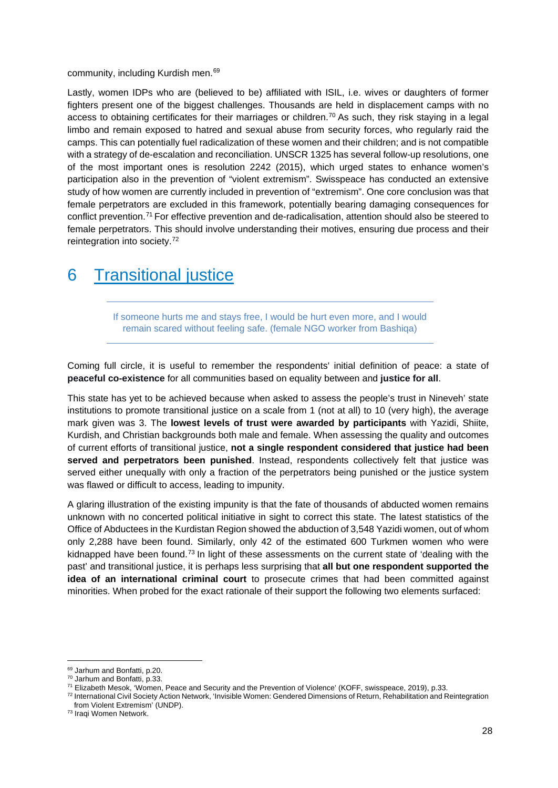#### community, including Kurdish men.[69](#page-27-1)

Lastly, women IDPs who are (believed to be) affiliated with ISIL, i.e. wives or daughters of former fighters present one of the biggest challenges. Thousands are held in displacement camps with no access to obtaining certificates for their marriages or children.<sup>[70](#page-27-2)</sup> As such, they risk staying in a legal limbo and remain exposed to hatred and sexual abuse from security forces, who regularly raid the camps. This can potentially fuel radicalization of these women and their children; and is not compatible with a strategy of de-escalation and reconciliation. UNSCR 1325 has several follow-up resolutions, one of the most important ones is resolution 2242 (2015), which urged states to enhance women's participation also in the prevention of "violent extremism". Swisspeace has conducted an extensive study of how women are currently included in prevention of "extremism". One core conclusion was that female perpetrators are excluded in this framework, potentially bearing damaging consequences for conflict prevention.[71](#page-27-3) For effective prevention and de-radicalisation, attention should also be steered to female perpetrators. This should involve understanding their motives, ensuring due process and their reintegration into society.[72](#page-27-4)

### <span id="page-27-0"></span>6 Transitional justice

If someone hurts me and stays free, I would be hurt even more, and I would remain scared without feeling safe. (female NGO worker from Bashiqa)

Coming full circle, it is useful to remember the respondents' initial definition of peace: a state of **peaceful co-existence** for all communities based on equality between and **justice for all**.

This state has yet to be achieved because when asked to assess the people's trust in Nineveh' state institutions to promote transitional justice on a scale from 1 (not at all) to 10 (very high), the average mark given was 3. The **lowest levels of trust were awarded by participants** with Yazidi, Shiite, Kurdish, and Christian backgrounds both male and female. When assessing the quality and outcomes of current efforts of transitional justice, **not a single respondent considered that justice had been served and perpetrators been punished**. Instead, respondents collectively felt that justice was served either unequally with only a fraction of the perpetrators being punished or the justice system was flawed or difficult to access, leading to impunity.

A glaring illustration of the existing impunity is that the fate of thousands of abducted women remains unknown with no concerted political initiative in sight to correct this state. The latest statistics of the Office of Abductees in the Kurdistan Region showed the abduction of 3,548 Yazidi women, out of whom only 2,288 have been found. Similarly, only 42 of the estimated 600 Turkmen women who were kidnapped have been found.<sup>[73](#page-27-5)</sup> In light of these assessments on the current state of 'dealing with the past' and transitional justice, it is perhaps less surprising that **all but one respondent supported the idea of an international criminal court** to prosecute crimes that had been committed against minorities. When probed for the exact rationale of their support the following two elements surfaced:

<span id="page-27-1"></span><sup>&</sup>lt;sup>69</sup> Jarhum and Bonfatti, p.20.

<span id="page-27-2"></span><sup>70</sup> Jarhum and Bonfatti, p.33.

<span id="page-27-3"></span><sup>71</sup> Elizabeth Mesok, 'Women, Peace and Security and the Prevention of Violence' (KOFF, swisspeace, 2019), p.33.

<span id="page-27-4"></span><sup>72</sup> International Civil Society Action Network, 'Invisible Women: Gendered Dimensions of Return, Rehabilitation and Reintegration from Violent Extremism' (UNDP).

<span id="page-27-5"></span><sup>73</sup> Iraqi Women Network.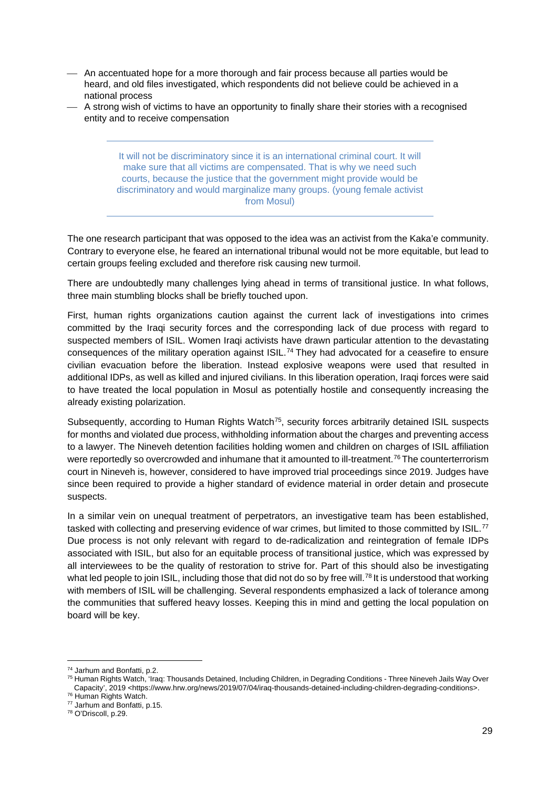- An accentuated hope for a more thorough and fair process because all parties would be heard, and old files investigated, which respondents did not believe could be achieved in a national process
- A strong wish of victims to have an opportunity to finally share their stories with a recognised entity and to receive compensation

It will not be discriminatory since it is an international criminal court. It will make sure that all victims are compensated. That is why we need such courts, because the justice that the government might provide would be discriminatory and would marginalize many groups. (young female activist from Mosul)

The one research participant that was opposed to the idea was an activist from the Kaka'e community. Contrary to everyone else, he feared an international tribunal would not be more equitable, but lead to certain groups feeling excluded and therefore risk causing new turmoil.

There are undoubtedly many challenges lying ahead in terms of transitional justice. In what follows, three main stumbling blocks shall be briefly touched upon.

First, human rights organizations caution against the current lack of investigations into crimes committed by the Iraqi security forces and the corresponding lack of due process with regard to suspected members of ISIL. Women Iraqi activists have drawn particular attention to the devastating consequences of the military operation against ISIL.<sup>[74](#page-28-0)</sup> They had advocated for a ceasefire to ensure civilian evacuation before the liberation. Instead explosive weapons were used that resulted in additional IDPs, as well as killed and injured civilians. In this liberation operation, Iraqi forces were said to have treated the local population in Mosul as potentially hostile and consequently increasing the already existing polarization.

Subsequently, according to Human Rights Watch<sup>[75](#page-28-1)</sup>, security forces arbitrarily detained ISIL suspects for months and violated due process, withholding information about the charges and preventing access to a lawyer. The Nineveh detention facilities holding women and children on charges of ISIL affiliation were reportedly so overcrowded and inhumane that it amounted to ill-treatment.<sup>[76](#page-28-2)</sup> The counterterrorism court in Nineveh is, however, considered to have improved trial proceedings since 2019. Judges have since been required to provide a higher standard of evidence material in order detain and prosecute suspects.

In a similar vein on unequal treatment of perpetrators, an investigative team has been established, tasked with collecting and preserving evidence of war crimes, but limited to those committed by ISIL.<sup>[77](#page-28-3)</sup> Due process is not only relevant with regard to de-radicalization and reintegration of female IDPs associated with ISIL, but also for an equitable process of transitional justice, which was expressed by all interviewees to be the quality of restoration to strive for. Part of this should also be investigating what led people to join ISIL, including those that did not do so by free will.<sup>[78](#page-28-4)</sup> It is understood that working with members of ISIL will be challenging. Several respondents emphasized a lack of tolerance among the communities that suffered heavy losses. Keeping this in mind and getting the local population on board will be key.

<span id="page-28-1"></span><sup>75</sup> Human Rights Watch, 'Iraq: Thousands Detained, Including Children, in Degrading Conditions - Three Nineveh Jails Way Over Capacity', 2019 <https://www.hrw.org/news/2019/07/04/iraq-thousands-detained-including-children-degrading-conditions>.

<span id="page-28-0"></span><sup>74</sup> Jarhum and Bonfatti, p.2.

<span id="page-28-2"></span><sup>76</sup> Human Rights Watch.

<span id="page-28-3"></span><sup>77</sup> Jarhum and Bonfatti, p.15.

<span id="page-28-4"></span><sup>78</sup> O'Driscoll, p.29.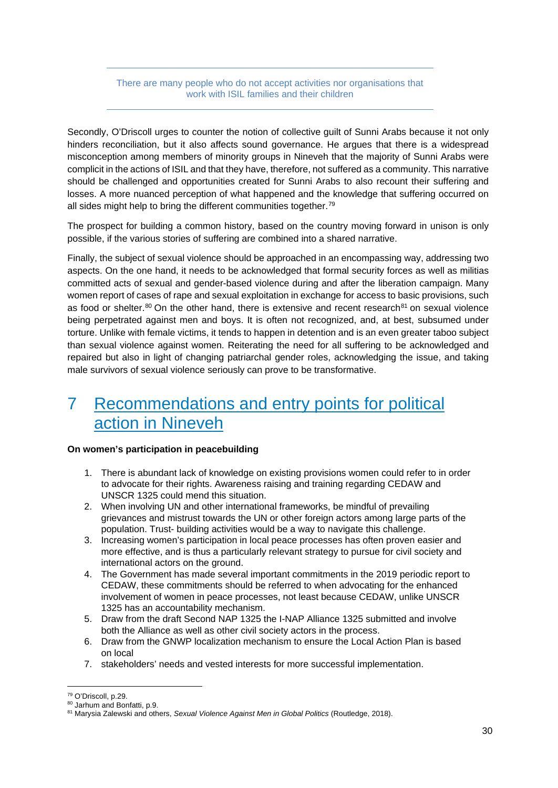#### There are many people who do not accept activities nor organisations that work with ISIL families and their children

Secondly, O'Driscoll urges to counter the notion of collective guilt of Sunni Arabs because it not only hinders reconciliation, but it also affects sound governance. He argues that there is a widespread misconception among members of minority groups in Nineveh that the majority of Sunni Arabs were complicit in the actions of ISIL and that they have, therefore, not suffered as a community. This narrative should be challenged and opportunities created for Sunni Arabs to also recount their suffering and losses. A more nuanced perception of what happened and the knowledge that suffering occurred on all sides might help to bring the different communities together.<sup>79</sup>

The prospect for building a common history, based on the country moving forward in unison is only possible, if the various stories of suffering are combined into a shared narrative.

Finally, the subject of sexual violence should be approached in an encompassing way, addressing two aspects. On the one hand, it needs to be acknowledged that formal security forces as well as militias committed acts of sexual and gender-based violence during and after the liberation campaign. Many women report of cases of rape and sexual exploitation in exchange for access to basic provisions, such as food or shelter. $80$  On the other hand, there is extensive and recent research $81$  on sexual violence being perpetrated against men and boys. It is often not recognized, and, at best, subsumed under torture. Unlike with female victims, it tends to happen in detention and is an even greater taboo subject than sexual violence against women. Reiterating the need for all suffering to be acknowledged and repaired but also in light of changing patriarchal gender roles, acknowledging the issue, and taking male survivors of sexual violence seriously can prove to be transformative.

## <span id="page-29-0"></span>7 Recommendations and entry points for political action in Nineveh

#### **On women's participation in peacebuilding**

- 1. There is abundant lack of knowledge on existing provisions women could refer to in order to advocate for their rights. Awareness raising and training regarding CEDAW and UNSCR 1325 could mend this situation.
- 2. When involving UN and other international frameworks, be mindful of prevailing grievances and mistrust towards the UN or other foreign actors among large parts of the population. Trust- building activities would be a way to navigate this challenge.
- 3. Increasing women's participation in local peace processes has often proven easier and more effective, and is thus a particularly relevant strategy to pursue for civil society and international actors on the ground.
- 4. The Government has made several important commitments in the 2019 periodic report to CEDAW, these commitments should be referred to when advocating for the enhanced involvement of women in peace processes, not least because CEDAW, unlike UNSCR 1325 has an accountability mechanism.
- 5. Draw from the draft Second NAP 1325 the I-NAP Alliance 1325 submitted and involve both the Alliance as well as other civil society actors in the process.
- 6. Draw from the GNWP localization mechanism to ensure the Local Action Plan is based on local
- 7. stakeholders' needs and vested interests for more successful implementation.

<span id="page-29-1"></span><sup>79</sup> O'Driscoll, p.29.

<span id="page-29-2"></span><sup>80</sup> Jarhum and Bonfatti, p.9.

<span id="page-29-3"></span><sup>81</sup> Marysia Zalewski and others, *Sexual Violence Against Men in Global Politics* (Routledge, 2018).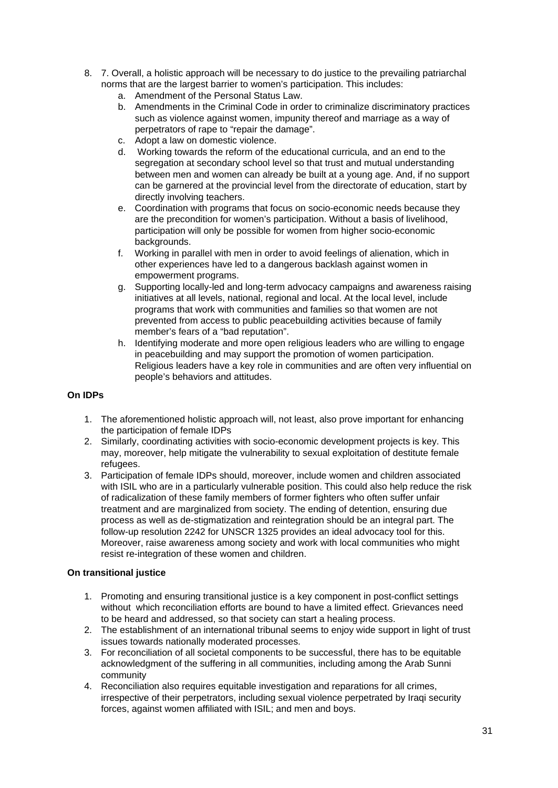- 8. 7. Overall, a holistic approach will be necessary to do justice to the prevailing patriarchal norms that are the largest barrier to women's participation. This includes:
	- a. Amendment of the Personal Status Law.
	- b. Amendments in the Criminal Code in order to criminalize discriminatory practices such as violence against women, impunity thereof and marriage as a way of perpetrators of rape to "repair the damage".
	- c. Adopt a law on domestic violence.
	- d. Working towards the reform of the educational curricula, and an end to the segregation at secondary school level so that trust and mutual understanding between men and women can already be built at a young age. And, if no support can be garnered at the provincial level from the directorate of education, start by directly involving teachers.
	- e. Coordination with programs that focus on socio-economic needs because they are the precondition for women's participation. Without a basis of livelihood, participation will only be possible for women from higher socio-economic backgrounds.
	- f. Working in parallel with men in order to avoid feelings of alienation, which in other experiences have led to a dangerous backlash against women in empowerment programs.
	- g. Supporting locally-led and long-term advocacy campaigns and awareness raising initiatives at all levels, national, regional and local. At the local level, include programs that work with communities and families so that women are not prevented from access to public peacebuilding activities because of family member's fears of a "bad reputation".
	- h. Identifying moderate and more open religious leaders who are willing to engage in peacebuilding and may support the promotion of women participation. Religious leaders have a key role in communities and are often very influential on people's behaviors and attitudes.

#### **On IDPs**

- 1. The aforementioned holistic approach will, not least, also prove important for enhancing the participation of female IDPs
- 2. Similarly, coordinating activities with socio-economic development projects is key. This may, moreover, help mitigate the vulnerability to sexual exploitation of destitute female refugees.
- 3. Participation of female IDPs should, moreover, include women and children associated with ISIL who are in a particularly vulnerable position. This could also help reduce the risk of radicalization of these family members of former fighters who often suffer unfair treatment and are marginalized from society. The ending of detention, ensuring due process as well as de-stigmatization and reintegration should be an integral part. The follow-up resolution 2242 for UNSCR 1325 provides an ideal advocacy tool for this. Moreover, raise awareness among society and work with local communities who might resist re-integration of these women and children.

#### **On transitional justice**

- 1. Promoting and ensuring transitional justice is a key component in post-conflict settings without which reconciliation efforts are bound to have a limited effect. Grievances need to be heard and addressed, so that society can start a healing process.
- 2. The establishment of an international tribunal seems to enjoy wide support in light of trust issues towards nationally moderated processes.
- 3. For reconciliation of all societal components to be successful, there has to be equitable acknowledgment of the suffering in all communities, including among the Arab Sunni community
- 4. Reconciliation also requires equitable investigation and reparations for all crimes, irrespective of their perpetrators, including sexual violence perpetrated by Iraqi security forces, against women affiliated with ISIL; and men and boys.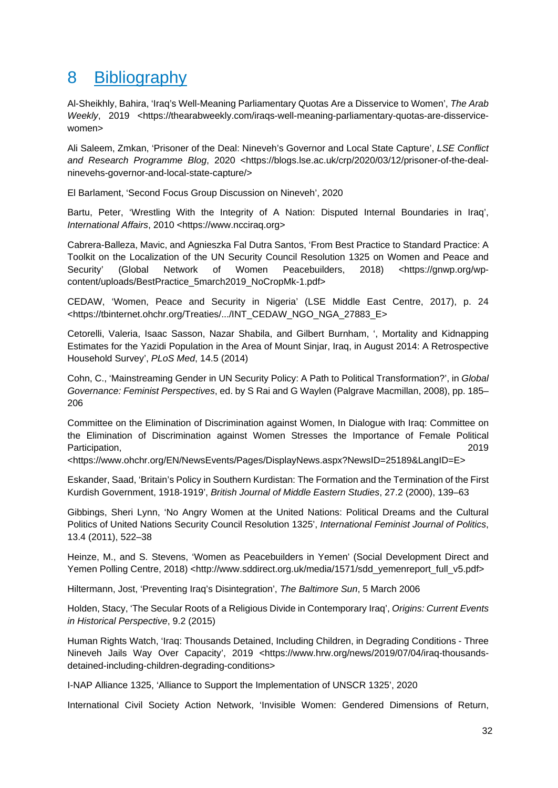## <span id="page-31-0"></span>8 Bibliography

Al-Sheikhly, Bahira, 'Iraq's Well-Meaning Parliamentary Quotas Are a Disservice to Women', *The Arab Weekly*, 2019 <https://thearabweekly.com/iraqs-well-meaning-parliamentary-quotas-are-disservicewomen>

Ali Saleem, Zmkan, 'Prisoner of the Deal: Nineveh's Governor and Local State Capture', *LSE Conflict*  and Research Programme Blog, 2020 <https://blogs.lse.ac.uk/crp/2020/03/12/prisoner-of-the-dealninevehs-governor-and-local-state-capture/>

El Barlament, 'Second Focus Group Discussion on Nineveh', 2020

Bartu, Peter, 'Wrestling With the Integrity of A Nation: Disputed Internal Boundaries in Iraq', *International Affairs*, 2010 <https://www.ncciraq.org>

Cabrera-Balleza, Mavic, and Agnieszka Fal Dutra Santos, 'From Best Practice to Standard Practice: A Toolkit on the Localization of the UN Security Council Resolution 1325 on Women and Peace and Security' (Global Network of Women Peacebuilders, 2018) <https://gnwp.org/wpcontent/uploads/BestPractice\_5march2019\_NoCropMk-1.pdf>

CEDAW, 'Women, Peace and Security in Nigeria' (LSE Middle East Centre, 2017), p. 24 <https://tbinternet.ohchr.org/Treaties/.../INT\_CEDAW\_NGO\_NGA\_27883\_E>

Cetorelli, Valeria, Isaac Sasson, Nazar Shabila, and Gilbert Burnham, ', Mortality and Kidnapping Estimates for the Yazidi Population in the Area of Mount Sinjar, Iraq, in August 2014: A Retrospective Household Survey', *PLoS Med*, 14.5 (2014)

Cohn, C., 'Mainstreaming Gender in UN Security Policy: A Path to Political Transformation?', in *Global Governance: Feminist Perspectives*, ed. by S Rai and G Waylen (Palgrave Macmillan, 2008), pp. 185– 206

Committee on the Elimination of Discrimination against Women, In Dialogue with Iraq: Committee on the Elimination of Discrimination against Women Stresses the Importance of Female Political Participation, 2019

<https://www.ohchr.org/EN/NewsEvents/Pages/DisplayNews.aspx?NewsID=25189&LangID=E>

Eskander, Saad, 'Britain's Policy in Southern Kurdistan: The Formation and the Termination of the First Kurdish Government, 1918-1919', *British Journal of Middle Eastern Studies*, 27.2 (2000), 139–63

Gibbings, Sheri Lynn, 'No Angry Women at the United Nations: Political Dreams and the Cultural Politics of United Nations Security Council Resolution 1325', *International Feminist Journal of Politics*, 13.4 (2011), 522–38

Heinze, M., and S. Stevens, 'Women as Peacebuilders in Yemen' (Social Development Direct and Yemen Polling Centre, 2018) <http://www.sddirect.org.uk/media/1571/sdd\_yemenreport\_full\_v5.pdf>

Hiltermann, Jost, 'Preventing Iraq's Disintegration', *The Baltimore Sun*, 5 March 2006

Holden, Stacy, 'The Secular Roots of a Religious Divide in Contemporary Iraq', *Origins: Current Events in Historical Perspective*, 9.2 (2015)

Human Rights Watch, 'Iraq: Thousands Detained, Including Children, in Degrading Conditions - Three Nineveh Jails Way Over Capacity', 2019 <https://www.hrw.org/news/2019/07/04/iraq-thousandsdetained-including-children-degrading-conditions>

I-NAP Alliance 1325, 'Alliance to Support the Implementation of UNSCR 1325', 2020

International Civil Society Action Network, 'Invisible Women: Gendered Dimensions of Return,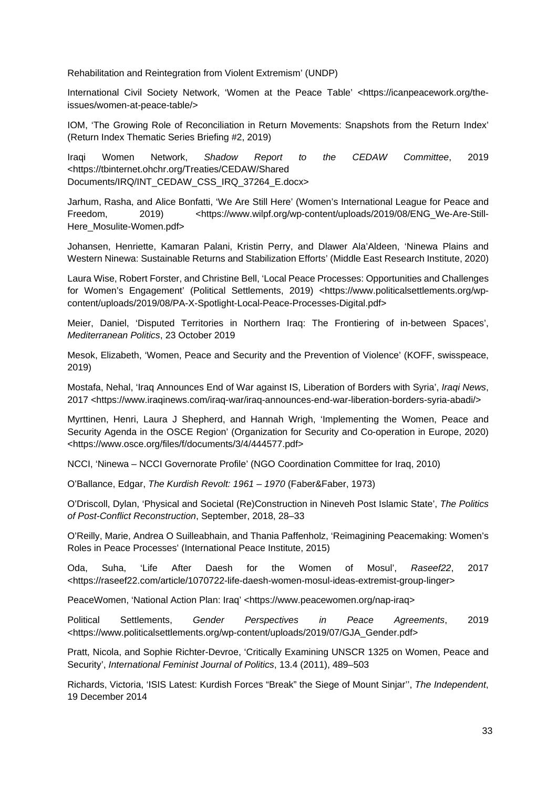Rehabilitation and Reintegration from Violent Extremism' (UNDP)

International Civil Society Network, 'Women at the Peace Table' <https://icanpeacework.org/theissues/women-at-peace-table/>

IOM, 'The Growing Role of Reconciliation in Return Movements: Snapshots from the Return Index' (Return Index Thematic Series Briefing #2, 2019)

Iraqi Women Network, *Shadow Report to the CEDAW Committee*, 2019 <https://tbinternet.ohchr.org/Treaties/CEDAW/Shared Documents/IRQ/INT\_CEDAW\_CSS\_IRQ\_37264\_E.docx>

Jarhum, Rasha, and Alice Bonfatti, 'We Are Still Here' (Women's International League for Peace and Freedom, 2019) <https://www.wilpf.org/wp-content/uploads/2019/08/ENG We-Are-Still-Here\_Mosulite-Women.pdf>

Johansen, Henriette, Kamaran Palani, Kristin Perry, and Dlawer Ala'Aldeen, 'Ninewa Plains and Western Ninewa: Sustainable Returns and Stabilization Efforts' (Middle East Research Institute, 2020)

Laura Wise, Robert Forster, and Christine Bell, 'Local Peace Processes: Opportunities and Challenges for Women's Engagement' (Political Settlements, 2019) <https://www.politicalsettlements.org/wpcontent/uploads/2019/08/PA-X-Spotlight-Local-Peace-Processes-Digital.pdf>

Meier, Daniel, 'Disputed Territories in Northern Iraq: The Frontiering of in-between Spaces', *Mediterranean Politics*, 23 October 2019

Mesok, Elizabeth, 'Women, Peace and Security and the Prevention of Violence' (KOFF, swisspeace, 2019)

Mostafa, Nehal, 'Iraq Announces End of War against IS, Liberation of Borders with Syria', *Iraqi News*, 2017 <https://www.iraqinews.com/iraq-war/iraq-announces-end-war-liberation-borders-syria-abadi/>

Myrttinen, Henri, Laura J Shepherd, and Hannah Wrigh, 'Implementing the Women, Peace and Security Agenda in the OSCE Region' (Organization for Security and Co-operation in Europe, 2020) <https://www.osce.org/files/f/documents/3/4/444577.pdf>

NCCI, 'Ninewa – NCCI Governorate Profile' (NGO Coordination Committee for Iraq, 2010)

O'Ballance, Edgar, *The Kurdish Revolt: 1961 – 1970* (Faber&Faber, 1973)

O'Driscoll, Dylan, 'Physical and Societal (Re)Construction in Nineveh Post Islamic State', *The Politics of Post-Conflict Reconstruction*, September, 2018, 28–33

O'Reilly, Marie, Andrea O Suilleabhain, and Thania Paffenholz, 'Reimagining Peacemaking: Women's Roles in Peace Processes' (International Peace Institute, 2015)

Oda, Suha, 'Life After Daesh for the Women of Mosul', *Raseef22*, 2017 <https://raseef22.com/article/1070722-life-daesh-women-mosul-ideas-extremist-group-linger>

PeaceWomen, 'National Action Plan: Iraq' <https://www.peacewomen.org/nap-iraq>

Political Settlements, *Gender Perspectives in Peace Agreements*, 2019 <https://www.politicalsettlements.org/wp-content/uploads/2019/07/GJA\_Gender.pdf>

Pratt, Nicola, and Sophie Richter-Devroe, 'Critically Examining UNSCR 1325 on Women, Peace and Security', *International Feminist Journal of Politics*, 13.4 (2011), 489–503

Richards, Victoria, 'ISIS Latest: Kurdish Forces "Break" the Siege of Mount Sinjar'', *The Independent*, 19 December 2014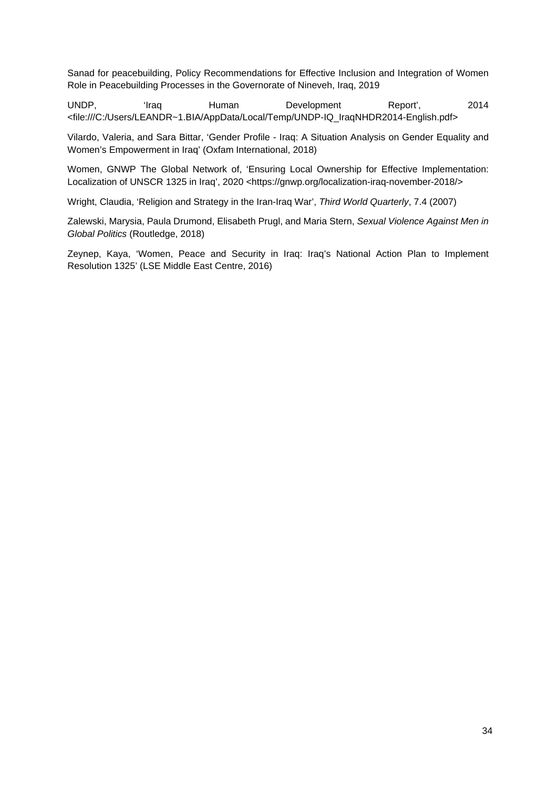Sanad for peacebuilding, Policy Recommendations for Effective Inclusion and Integration of Women Role in Peacebuilding Processes in the Governorate of Nineveh, Iraq, 2019

UNDP, 'Iraq Human Development Report', 2014 <file:///C:/Users/LEANDR~1.BIA/AppData/Local/Temp/UNDP-IQ\_IraqNHDR2014-English.pdf>

Vilardo, Valeria, and Sara Bittar, 'Gender Profile - Iraq: A Situation Analysis on Gender Equality and Women's Empowerment in Iraq' (Oxfam International, 2018)

Women, GNWP The Global Network of, 'Ensuring Local Ownership for Effective Implementation: Localization of UNSCR 1325 in Iraq', 2020 <https://gnwp.org/localization-iraq-november-2018/>

Wright, Claudia, 'Religion and Strategy in the Iran-Iraq War', *Third World Quarterly*, 7.4 (2007)

Zalewski, Marysia, Paula Drumond, Elisabeth Prugl, and Maria Stern, *Sexual Violence Against Men in Global Politics* (Routledge, 2018)

Zeynep, Kaya, 'Women, Peace and Security in Iraq: Iraq's National Action Plan to Implement Resolution 1325' (LSE Middle East Centre, 2016)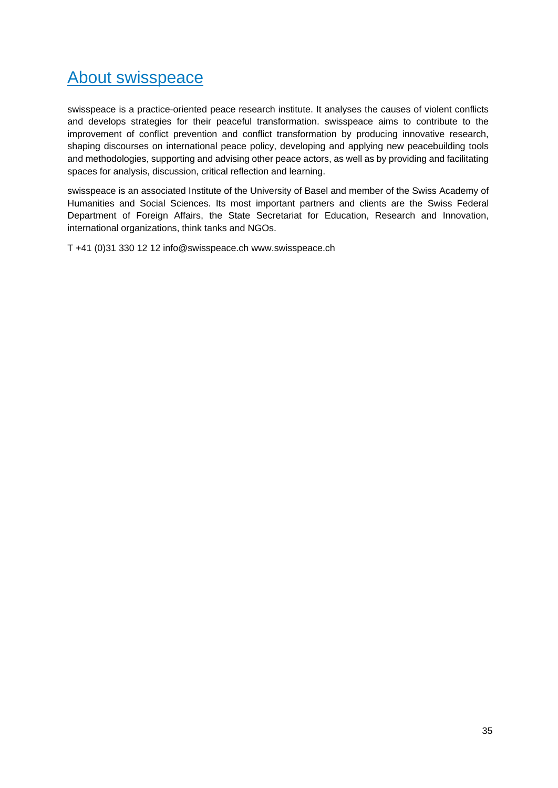## About swisspeace

swisspeace is a practice-oriented peace research institute. It analyses the causes of violent conflicts and develops strategies for their peaceful transformation. swisspeace aims to contribute to the improvement of conflict prevention and conflict transformation by producing innovative research, shaping discourses on international peace policy, developing and applying new peacebuilding tools and methodologies, supporting and advising other peace actors, as well as by providing and facilitating spaces for analysis, discussion, critical reflection and learning.

swisspeace is an associated Institute of the University of Basel and member of the Swiss Academy of Humanities and Social Sciences. Its most important partners and clients are the Swiss Federal Department of Foreign Affairs, the State Secretariat for Education, Research and Innovation, international organizations, think tanks and NGOs.

T +41 (0)31 330 12 12 info@swisspeace.ch www.swisspeace.ch